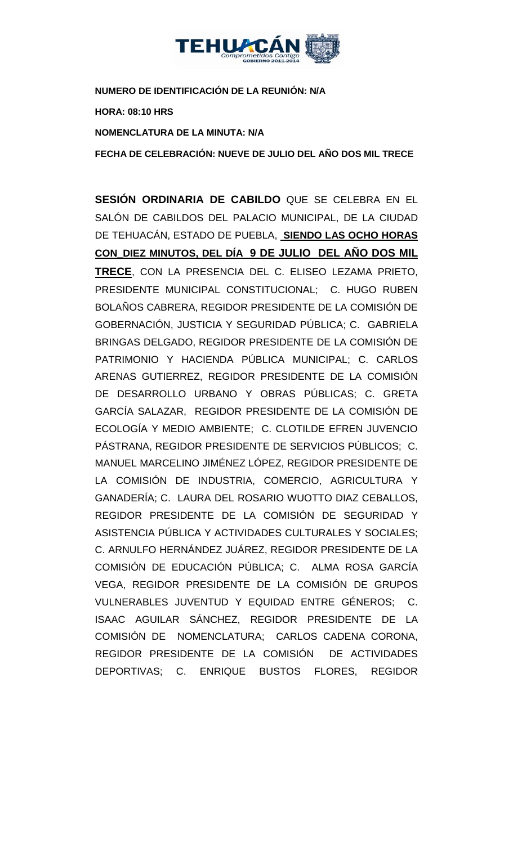

**NUMERO DE IDENTIFICACIÓN DE LA REUNIÓN: N/A**

**HORA: 08:10 HRS**

**NOMENCLATURA DE LA MINUTA: N/A**

**FECHA DE CELEBRACIÓN: NUEVE DE JULIO DEL AÑO DOS MIL TRECE** 

**SESIÓN ORDINARIA DE CABILDO** QUE SE CELEBRA EN EL SALÓN DE CABILDOS DEL PALACIO MUNICIPAL, DE LA CIUDAD DE TEHUACÁN, ESTADO DE PUEBLA, **SIENDO LAS OCHO HORAS CON\_DIEZ MINUTOS, DEL DÍA 9 DE JULIO DEL AÑO DOS MIL TRECE**, CON LA PRESENCIA DEL C. ELISEO LEZAMA PRIETO, PRESIDENTE MUNICIPAL CONSTITUCIONAL; C. HUGO RUBEN BOLAÑOS CABRERA, REGIDOR PRESIDENTE DE LA COMISIÓN DE GOBERNACIÓN, JUSTICIA Y SEGURIDAD PÚBLICA; C. GABRIELA BRINGAS DELGADO, REGIDOR PRESIDENTE DE LA COMISIÓN DE PATRIMONIO Y HACIENDA PÚBLICA MUNICIPAL; C. CARLOS ARENAS GUTIERREZ, REGIDOR PRESIDENTE DE LA COMISIÓN DE DESARROLLO URBANO Y OBRAS PÚBLICAS; C. GRETA GARCÍA SALAZAR, REGIDOR PRESIDENTE DE LA COMISIÓN DE ECOLOGÍA Y MEDIO AMBIENTE; C. CLOTILDE EFREN JUVENCIO PÁSTRANA, REGIDOR PRESIDENTE DE SERVICIOS PÚBLICOS; C. MANUEL MARCELINO JIMÉNEZ LÓPEZ, REGIDOR PRESIDENTE DE LA COMISIÓN DE INDUSTRIA, COMERCIO, AGRICULTURA Y GANADERÍA; C. LAURA DEL ROSARIO WUOTTO DIAZ CEBALLOS, REGIDOR PRESIDENTE DE LA COMISIÓN DE SEGURIDAD Y ASISTENCIA PÚBLICA Y ACTIVIDADES CULTURALES Y SOCIALES; C. ARNULFO HERNÁNDEZ JUÁREZ, REGIDOR PRESIDENTE DE LA COMISIÓN DE EDUCACIÓN PÚBLICA; C. ALMA ROSA GARCÍA VEGA, REGIDOR PRESIDENTE DE LA COMISIÓN DE GRUPOS VULNERABLES JUVENTUD Y EQUIDAD ENTRE GÉNEROS; C. ISAAC AGUILAR SÁNCHEZ, REGIDOR PRESIDENTE DE LA COMISIÓN DE NOMENCLATURA; CARLOS CADENA CORONA, REGIDOR PRESIDENTE DE LA COMISIÓN DE ACTIVIDADES DEPORTIVAS; C. ENRIQUE BUSTOS FLORES, REGIDOR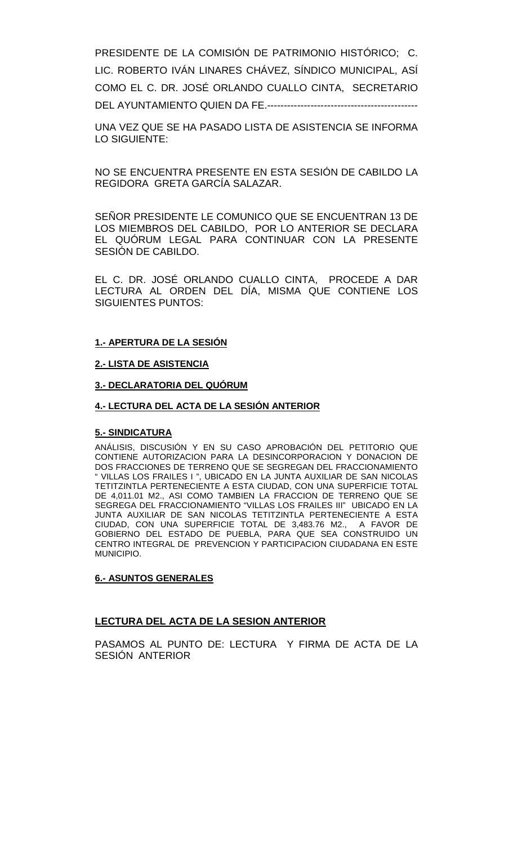PRESIDENTE DE LA COMISIÓN DE PATRIMONIO HISTÓRICO; C. LIC. ROBERTO IVÁN LINARES CHÁVEZ, SÍNDICO MUNICIPAL, ASÍ COMO EL C. DR. JOSÉ ORLANDO CUALLO CINTA, SECRETARIO DEL AYUNTAMIENTO QUIEN DA FE.---------------------------------------------

UNA VEZ QUE SE HA PASADO LISTA DE ASISTENCIA SE INFORMA LO SIGUIENTE:

NO SE ENCUENTRA PRESENTE EN ESTA SESIÓN DE CABILDO LA REGIDORA GRETA GARCÍA SALAZAR.

SEÑOR PRESIDENTE LE COMUNICO QUE SE ENCUENTRAN 13 DE LOS MIEMBROS DEL CABILDO, POR LO ANTERIOR SE DECLARA EL QUÓRUM LEGAL PARA CONTINUAR CON LA PRESENTE SESIÓN DE CABILDO.

EL C. DR. JOSÉ ORLANDO CUALLO CINTA, PROCEDE A DAR LECTURA AL ORDEN DEL DÍA, MISMA QUE CONTIENE LOS SIGUIENTES PUNTOS:

# **1.- APERTURA DE LA SESIÓN**

# **2.- LISTA DE ASISTENCIA**

### **3.- DECLARATORIA DEL QUÓRUM**

#### **4.- LECTURA DEL ACTA DE LA SESIÓN ANTERIOR**

## **5.- SINDICATURA**

ANÁLISIS, DISCUSIÓN Y EN SU CASO APROBACIÓN DEL PETITORIO QUE CONTIENE AUTORIZACION PARA LA DESINCORPORACION Y DONACION DE DOS FRACCIONES DE TERRENO QUE SE SEGREGAN DEL FRACCIONAMIENTO " VILLAS LOS FRAILES I ", UBICADO EN LA JUNTA AUXILIAR DE SAN NICOLAS TETITZINTLA PERTENECIENTE A ESTA CIUDAD, CON UNA SUPERFICIE TOTAL DE 4,011.01 M2., ASI COMO TAMBIEN LA FRACCION DE TERRENO QUE SE SEGREGA DEL FRACCIONAMIENTO "VILLAS LOS FRAILES III" UBICADO EN LA JUNTA AUXILIAR DE SAN NICOLAS TETITZINTLA PERTENECIENTE A ESTA<br>CIUDAD, CON UNA SUPERFICIE TOTAL DE 3,483.76 M2., A FAVOR DE CIUDAD, CON UNA SUPERFICIE TOTAL DE 3,483.76 M2., GOBIERNO DEL ESTADO DE PUEBLA, PARA QUE SEA CONSTRUIDO UN CENTRO INTEGRAL DE PREVENCION Y PARTICIPACION CIUDADANA EN ESTE MUNICIPIO.

#### **6.- ASUNTOS GENERALES**

# **LECTURA DEL ACTA DE LA SESION ANTERIOR**

PASAMOS AL PUNTO DE: LECTURA Y FIRMA DE ACTA DE LA SESIÓN ANTERIOR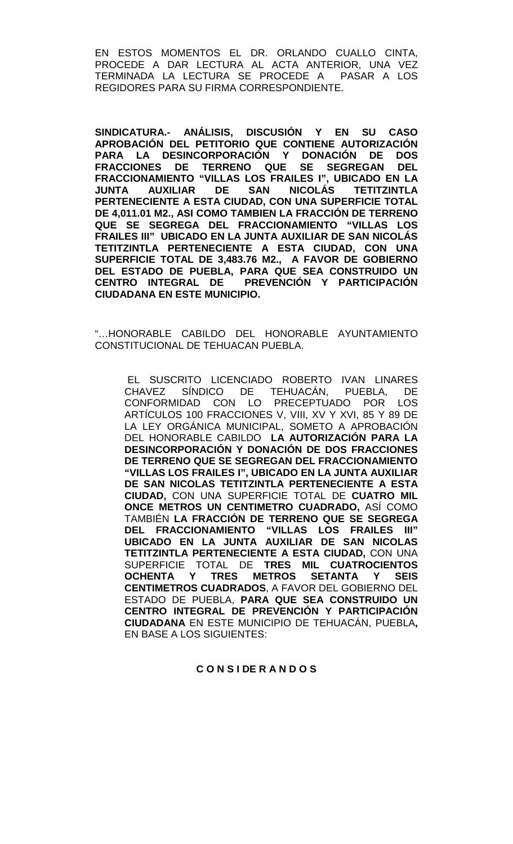EN ESTOS MOMENTOS EL DR. ORLANDO CUALLO CINTA, PROCEDE A DAR LECTURA AL ACTA ANTERIOR, UNA VEZ TERMINADA LA LECTURA SE PROCEDE A PASAR A LOS REGIDORES PARA SU FIRMA CORRESPONDIENTE.

**SINDICATURA.- ANÁLISIS, DISCUSIÓN Y EN SU CASO APROBACIÓN DEL PETITORIO QUE CONTIENE AUTORIZACIÓN PARA LA DESINCORPORACIÓN Y DONACIÓN DE DOS FRACCIONES DE TERRENO QUE SE SEGREGAN DEL FRACCIONAMIENTO "VILLAS LOS FRAILES I", UBICADO EN LA JUNTA AUXILIAR DE SAN NICOLÁS TETITZINTLA PERTENECIENTE A ESTA CIUDAD, CON UNA SUPERFICIE TOTAL DE 4,011.01 M2., ASI COMO TAMBIEN LA FRACCIÓN DE TERRENO QUE SE SEGREGA DEL FRACCIONAMIENTO "VILLAS LOS FRAILES III" UBICADO EN LA JUNTA AUXILIAR DE SAN NICOLÁS TETITZINTLA PERTENECIENTE A ESTA CIUDAD, CON UNA SUPERFICIE TOTAL DE 3,483.76 M2., A FAVOR DE GOBIERNO DEL ESTADO DE PUEBLA, PARA QUE SEA CONSTRUIDO UN PREVENCIÓN Y PARTICIPACIÓN CIUDADANA EN ESTE MUNICIPIO.**

"…HONORABLE CABILDO DEL HONORABLE AYUNTAMIENTO CONSTITUCIONAL DE TEHUACAN PUEBLA.

EL SUSCRITO LICENCIADO ROBERTO IVAN LINARES CHAVEZ SÍNDICO DE TEHUACÁN, PUEBLA, DE CONFORMIDAD CON LO PRECEPTUADO POR LOS ARTÍCULOS 100 FRACCIONES V, VIII, XV Y XVI, 85 Y 89 DE LA LEY ORGÁNICA MUNICIPAL, SOMETO A APROBACIÓN DEL HONORABLE CABILDO **LA AUTORIZACIÓN PARA LA DESINCORPORACIÓN Y DONACIÓN DE DOS FRACCIONES DE TERRENO QUE SE SEGREGAN DEL FRACCIONAMIENTO "VILLAS LOS FRAILES I", UBICADO EN LA JUNTA AUXILIAR DE SAN NICOLAS TETITZINTLA PERTENECIENTE A ESTA CIUDAD,** CON UNA SUPERFICIE TOTAL DE **CUATRO MIL ONCE METROS UN CENTIMETRO CUADRADO,** ASÍ COMO TAMBIÉN **LA FRACCIÓN DE TERRENO QUE SE SEGREGA DEL FRACCIONAMIENTO "VILLAS LOS FRAILES III" UBICADO EN LA JUNTA AUXILIAR DE SAN NICOLAS TETITZINTLA PERTENECIENTE A ESTA CIUDAD,** CON UNA SUPERFICIE TOTAL DE **TRES MIL CUATROCIENTOS OCHENTA Y TRES METROS SETANTA Y SEIS CENTIMETROS CUADRADOS**, A FAVOR DEL GOBIERNO DEL ESTADO DE PUEBLA, **PARA QUE SEA CONSTRUIDO UN CENTRO INTEGRAL DE PREVENCIÓN Y PARTICIPACIÓN CIUDADANA** EN ESTE MUNICIPIO DE TEHUACÁN, PUEBLA**,**  EN BASE A LOS SIGUIENTES:

### **C O N S I DE R A N D O S**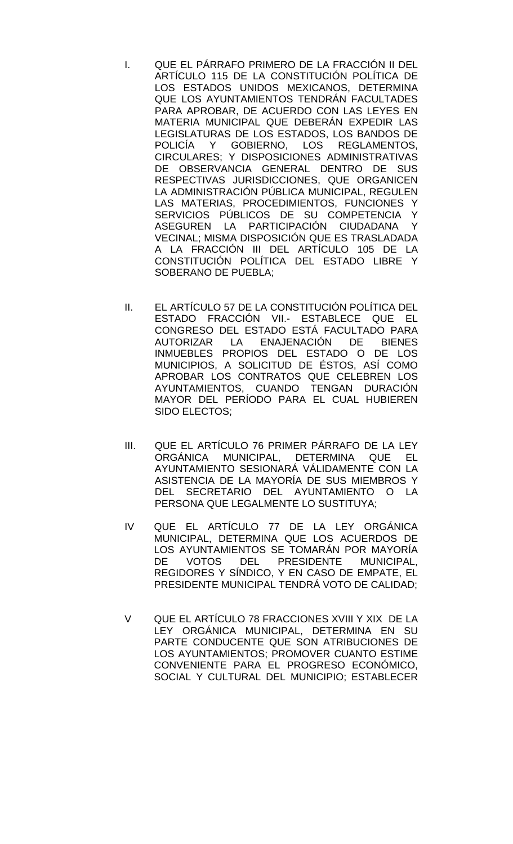- I. QUE EL PÁRRAFO PRIMERO DE LA FRACCIÓN II DEL ARTÍCULO 115 DE LA CONSTITUCIÓN POLÍTICA DE LOS ESTADOS UNIDOS MEXICANOS, DETERMINA QUE LOS AYUNTAMIENTOS TENDRÁN FACULTADES PARA APROBAR, DE ACUERDO CON LAS LEYES EN MATERIA MUNICIPAL QUE DEBERÁN EXPEDIR LAS LEGISLATURAS DE LOS ESTADOS, LOS BANDOS DE POLICÍA Y GOBIERNO, LOS REGLAMENTOS, CIRCULARES; Y DISPOSICIONES ADMINISTRATIVAS DE OBSERVANCIA GENERAL DENTRO DE SUS RESPECTIVAS JURISDICCIONES, QUE ORGANICEN LA ADMINISTRACIÓN PÚBLICA MUNICIPAL, REGULEN LAS MATERIAS, PROCEDIMIENTOS, FUNCIONES Y SERVICIOS PÚBLICOS DE SU COMPETENCIA Y ASEGUREN LA PARTICIPACIÓN CIUDADANA Y VECINAL; MISMA DISPOSICIÓN QUE ES TRASLADADA A LA FRACCIÓN III DEL ARTÍCULO 105 DE LA CONSTITUCIÓN POLÍTICA DEL ESTADO LIBRE Y SOBERANO DE PUEBLA;
- II. EL ARTÍCULO 57 DE LA CONSTITUCIÓN POLÍTICA DEL ESTADO FRACCIÓN VII.- ESTABLECE QUE EL CONGRESO DEL ESTADO ESTÁ FACULTADO PARA AUTORIZAR LA ENAJENACIÓN DE BIENES INMUEBLES PROPIOS DEL ESTADO O DE LOS MUNICIPIOS, A SOLICITUD DE ÉSTOS, ASÍ COMO APROBAR LOS CONTRATOS QUE CELEBREN LOS AYUNTAMIENTOS, CUANDO TENGAN DURACIÓN MAYOR DEL PERÍODO PARA EL CUAL HUBIEREN SIDO ELECTOS;
- III. QUE EL ARTÍCULO 76 PRIMER PÁRRAFO DE LA LEY ORGÁNICA MUNICIPAL, DETERMINA QUE EL AYUNTAMIENTO SESIONARÁ VÁLIDAMENTE CON LA ASISTENCIA DE LA MAYORÍA DE SUS MIEMBROS Y DEL SECRETARIO DEL AYUNTAMIENTO O LA PERSONA QUE LEGALMENTE LO SUSTITUYA;
- IV QUE EL ARTÍCULO 77 DE LA LEY ORGÁNICA MUNICIPAL, DETERMINA QUE LOS ACUERDOS DE LOS AYUNTAMIENTOS SE TOMARÁN POR MAYORÍA DE VOTOS DEL PRESIDENTE MUNICIPAL, REGIDORES Y SÍNDICO, Y EN CASO DE EMPATE, EL PRESIDENTE MUNICIPAL TENDRÁ VOTO DE CALIDAD;
- V QUE EL ARTÍCULO 78 FRACCIONES XVIII Y XIX DE LA LEY ORGÁNICA MUNICIPAL, DETERMINA EN SU PARTE CONDUCENTE QUE SON ATRIBUCIONES DE LOS AYUNTAMIENTOS; PROMOVER CUANTO ESTIME CONVENIENTE PARA EL PROGRESO ECONÓMICO, SOCIAL Y CULTURAL DEL MUNICIPIO; ESTABLECER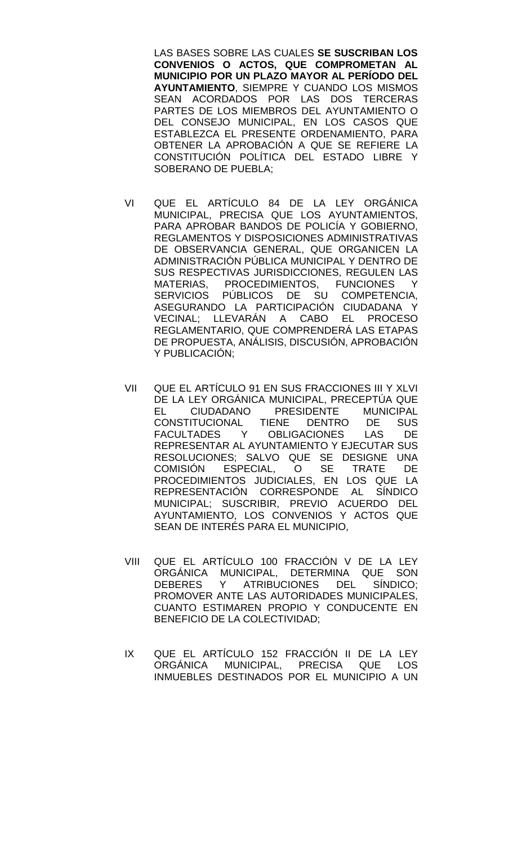LAS BASES SOBRE LAS CUALES **SE SUSCRIBAN LOS CONVENIOS O ACTOS, QUE COMPROMETAN AL MUNICIPIO POR UN PLAZO MAYOR AL PERÍODO DEL AYUNTAMIENTO**, SIEMPRE Y CUANDO LOS MISMOS SEAN ACORDADOS POR LAS DOS TERCERAS PARTES DE LOS MIEMBROS DEL AYUNTAMIENTO O DEL CONSEJO MUNICIPAL, EN LOS CASOS QUE ESTABLEZCA EL PRESENTE ORDENAMIENTO, PARA OBTENER LA APROBACIÓN A QUE SE REFIERE LA CONSTITUCIÓN POLÍTICA DEL ESTADO LIBRE Y SOBERANO DE PUEBLA;

- VI QUE EL ARTÍCULO 84 DE LA LEY ORGÁNICA MUNICIPAL, PRECISA QUE LOS AYUNTAMIENTOS, PARA APROBAR BANDOS DE POLICÍA Y GOBIERNO, REGLAMENTOS Y DISPOSICIONES ADMINISTRATIVAS DE OBSERVANCIA GENERAL, QUE ORGANICEN LA ADMINISTRACIÓN PÚBLICA MUNICIPAL Y DENTRO DE SUS RESPECTIVAS JURISDICCIONES, REGULEN LAS MATERIAS, PROCEDIMIENTOS, FUNCIONES Y SERVICIOS PÚBLICOS DE SU COMPETENCIA, ASEGURANDO LA PARTICIPACIÓN CIUDADANA Y VECINAL; LLEVARÁN A CABO EL PROCESO REGLAMENTARIO, QUE COMPRENDERÁ LAS ETAPAS DE PROPUESTA, ANÁLISIS, DISCUSIÓN, APROBACIÓN Y PUBLICACIÓN;
- VII QUE EL ARTÍCULO 91 EN SUS FRACCIONES III Y XLVI DE LA LEY ORGÁNICA MUNICIPAL, PRECEPTÚA QUE<br>EL CIUDADANO PRESIDENTE MUNICIPAL PRESIDENTE MUNICIPAL<br>TIENE DENTRO DE SUS CONSTITUCIONAL TIENE DENTRO DE<br>FACULTADES Y OBLIGACIONES LAS FACULTADES Y OBLIGACIONES LAS DE REPRESENTAR AL AYUNTAMIENTO Y EJECUTAR SUS RESOLUCIONES; SALVO QUE SE DESIGNE UNA<br>COMISIÓN ESPECIAL, O SE TRATE DE COMISIÓN ESPECIAL, O SE TRATE DE PROCEDIMIENTOS JUDICIALES, EN LOS QUE LA REPRESENTACIÓN CORRESPONDE AL SÍNDICO MUNICIPAL; SUSCRIBIR, PREVIO ACUERDO DEL AYUNTAMIENTO, LOS CONVENIOS Y ACTOS QUE SEAN DE INTERÉS PARA EL MUNICIPIO,
- VIII QUE EL ARTÍCULO 100 FRACCIÓN V DE LA LEY ORGÁNICA MUNICIPAL, DETERMINA QUE SON DEBERES Y ATRIBUCIONES DEL SÍNDICO; PROMOVER ANTE LAS AUTORIDADES MUNICIPALES, CUANTO ESTIMAREN PROPIO Y CONDUCENTE EN BENEFICIO DE LA COLECTIVIDAD;
- IX QUE EL ARTÍCULO 152 FRACCIÓN II DE LA LEY ORGÁNICA MUNICIPAL, PRECISA QUE LOS INMUEBLES DESTINADOS POR EL MUNICIPIO A UN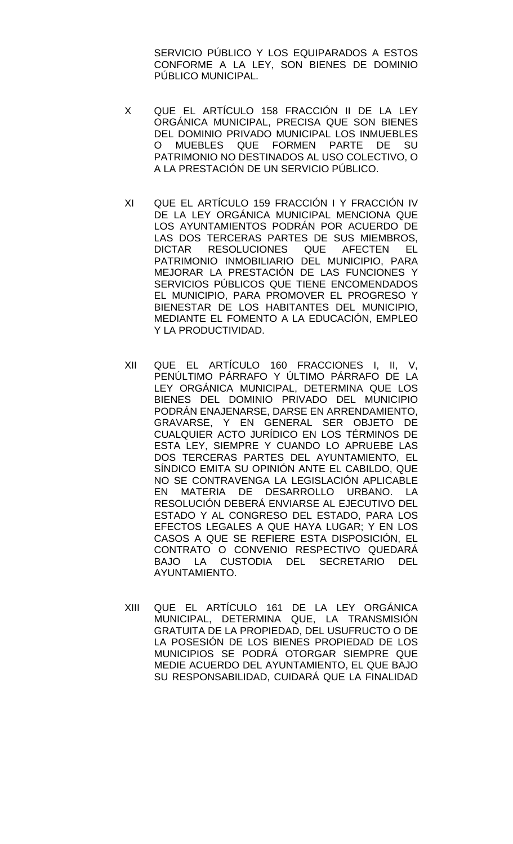SERVICIO PÚBLICO Y LOS EQUIPARADOS A ESTOS CONFORME A LA LEY, SON BIENES DE DOMINIO PÚBLICO MUNICIPAL.

- X QUE EL ARTÍCULO 158 FRACCIÓN II DE LA LEY ORGÁNICA MUNICIPAL, PRECISA QUE SON BIENES DEL DOMINIO PRIVADO MUNICIPAL LOS INMUEBLES O MUEBLES QUE FORMEN PARTE DE SU PATRIMONIO NO DESTINADOS AL USO COLECTIVO, O A LA PRESTACIÓN DE UN SERVICIO PÚBLICO.
- XI QUE EL ARTÍCULO 159 FRACCIÓN I Y FRACCIÓN IV DE LA LEY ORGÁNICA MUNICIPAL MENCIONA QUE LOS AYUNTAMIENTOS PODRÁN POR ACUERDO DE LAS DOS TERCERAS PARTES DE SUS MIEMBROS, DICTAR RESOLUCIONES QUE AFECTEN EL PATRIMONIO INMOBILIARIO DEL MUNICIPIO, PARA MEJORAR LA PRESTACIÓN DE LAS FUNCIONES Y SERVICIOS PÚBLICOS QUE TIENE ENCOMENDADOS EL MUNICIPIO, PARA PROMOVER EL PROGRESO Y BIENESTAR DE LOS HABITANTES DEL MUNICIPIO, MEDIANTE EL FOMENTO A LA EDUCACIÓN, EMPLEO Y LA PRODUCTIVIDAD.
- XII QUE EL ARTÍCULO 160 FRACCIONES I, II, V, PENÚLTIMO PÁRRAFO Y ÚLTIMO PÁRRAFO DE LA LEY ORGÁNICA MUNICIPAL, DETERMINA QUE LOS BIENES DEL DOMINIO PRIVADO DEL MUNICIPIO PODRÁN ENAJENARSE, DARSE EN ARRENDAMIENTO, GRAVARSE, Y EN GENERAL SER OBJETO DE CUALQUIER ACTO JURÍDICO EN LOS TÉRMINOS DE ESTA LEY, SIEMPRE Y CUANDO LO APRUEBE LAS DOS TERCERAS PARTES DEL AYUNTAMIENTO, EL SÍNDICO EMITA SU OPINIÓN ANTE EL CABILDO, QUE NO SE CONTRAVENGA LA LEGISLACIÓN APLICABLE EN MATERIA DE DESARROLLO URBANO. LA RESOLUCIÓN DEBERÁ ENVIARSE AL EJECUTIVO DEL ESTADO Y AL CONGRESO DEL ESTADO, PARA LOS EFECTOS LEGALES A QUE HAYA LUGAR; Y EN LOS CASOS A QUE SE REFIERE ESTA DISPOSICIÓN, EL CONTRATO O CONVENIO RESPECTIVO QUEDARÁ BAJO LA CUSTODIA DEL SECRETARIO DEL AYUNTAMIENTO.
- XIII QUE EL ARTÍCULO 161 DE LA LEY ORGÁNICA MUNICIPAL, DETERMINA QUE, LA TRANSMISIÓN GRATUITA DE LA PROPIEDAD, DEL USUFRUCTO O DE LA POSESIÓN DE LOS BIENES PROPIEDAD DE LOS MUNICIPIOS SE PODRÁ OTORGAR SIEMPRE QUE MEDIE ACUERDO DEL AYUNTAMIENTO, EL QUE BAJO SU RESPONSABILIDAD, CUIDARÁ QUE LA FINALIDAD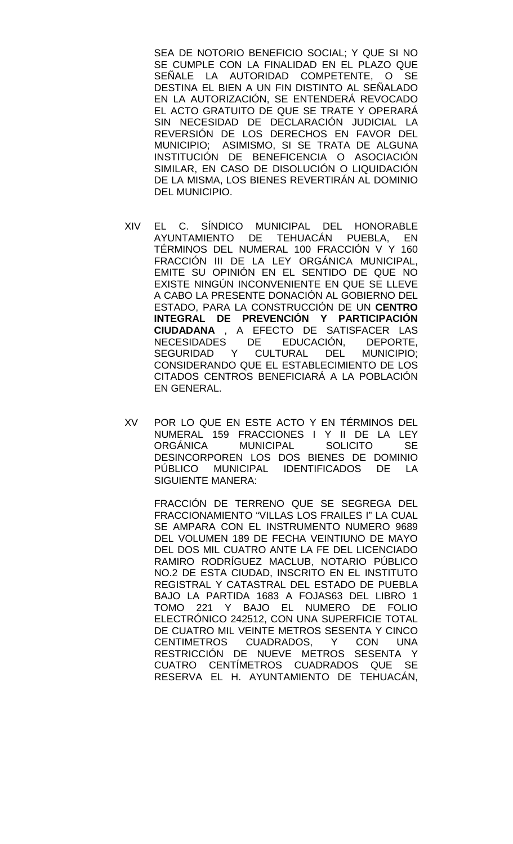SEA DE NOTORIO BENEFICIO SOCIAL; Y QUE SI NO SE CUMPLE CON LA FINALIDAD EN EL PLAZO QUE SEÑALE LA AUTORIDAD COMPETENTE, O SE DESTINA EL BIEN A UN FIN DISTINTO AL SEÑALADO EN LA AUTORIZACIÓN, SE ENTENDERÁ REVOCADO EL ACTO GRATUITO DE QUE SE TRATE Y OPERARÁ SIN NECESIDAD DE DECLARACIÓN JUDICIAL LA REVERSIÓN DE LOS DERECHOS EN FAVOR DEL MUNICIPIO; ASIMISMO, SI SE TRATA DE ALGUNA INSTITUCIÓN DE BENEFICENCIA O ASOCIACIÓN SIMILAR, EN CASO DE DISOLUCIÓN O LIQUIDACIÓN DE LA MISMA, LOS BIENES REVERTIRÁN AL DOMINIO DEL MUNICIPIO.

- XIV EL C. SÍNDICO MUNICIPAL DEL HONORABLE AYUNTAMIENTO DE TEHUACÁN PUEBLA, EN TÉRMINOS DEL NUMERAL 100 FRACCIÓN V Y 160 FRACCIÓN III DE LA LEY ORGÁNICA MUNICIPAL, EMITE SU OPINIÓN EN EL SENTIDO DE QUE NO EXISTE NINGÚN INCONVENIENTE EN QUE SE LLEVE A CABO LA PRESENTE DONACIÓN AL GOBIERNO DEL ESTADO, PARA LA CONSTRUCCIÓN DE UN **CENTRO INTEGRAL DE PREVENCIÓN Y PARTICIPACIÓN CIUDADANA** , A EFECTO DE SATISFACER LAS NECESIDADES DE EDUCACIÓN, DEPORTE,<br>SEGURIDAD Y CULTURAL DEL MUNICIPIO: SEGURIDAD Y CULTURAL DEL MUNICIPIO; CONSIDERANDO QUE EL ESTABLECIMIENTO DE LOS CITADOS CENTROS BENEFICIARÁ A LA POBLACIÓN EN GENERAL.
- XV POR LO QUE EN ESTE ACTO Y EN TÉRMINOS DEL NUMERAL 159 FRACCIONES I Y II DE LA LEY<br>ORGÁNICA MUNICIPAL SOLICITO SE MUNICIPAL DESINCORPOREN LOS DOS BIENES DE DOMINIO PÚBLICO MUNICIPAL IDENTIFICADOS DE LA SIGUIENTE MANERA:

FRACCIÓN DE TERRENO QUE SE SEGREGA DEL FRACCIONAMIENTO "VILLAS LOS FRAILES I" LA CUAL SE AMPARA CON EL INSTRUMENTO NUMERO 9689 DEL VOLUMEN 189 DE FECHA VEINTIUNO DE MAYO DEL DOS MIL CUATRO ANTE LA FE DEL LICENCIADO RAMIRO RODRÍGUEZ MACLUB, NOTARIO PÚBLICO NO.2 DE ESTA CIUDAD, INSCRITO EN EL INSTITUTO REGISTRAL Y CATASTRAL DEL ESTADO DE PUEBLA BAJO LA PARTIDA 1683 A FOJAS63 DEL LIBRO 1 TOMO 221 Y BAJO EL NUMERO DE FOLIO ELECTRÓNICO 242512, CON UNA SUPERFICIE TOTAL DE CUATRO MIL VEINTE METROS SESENTA Y CINCO<br>CENTIMETROS CUADRADOS. Y CON UNA CENTIMETROS CUADRADOS, RESTRICCIÓN DE NUEVE METROS SESENTA Y CUATRO CENTÍMETROS CUADRADOS QUE SE RESERVA EL H. AYUNTAMIENTO DE TEHUACÁN,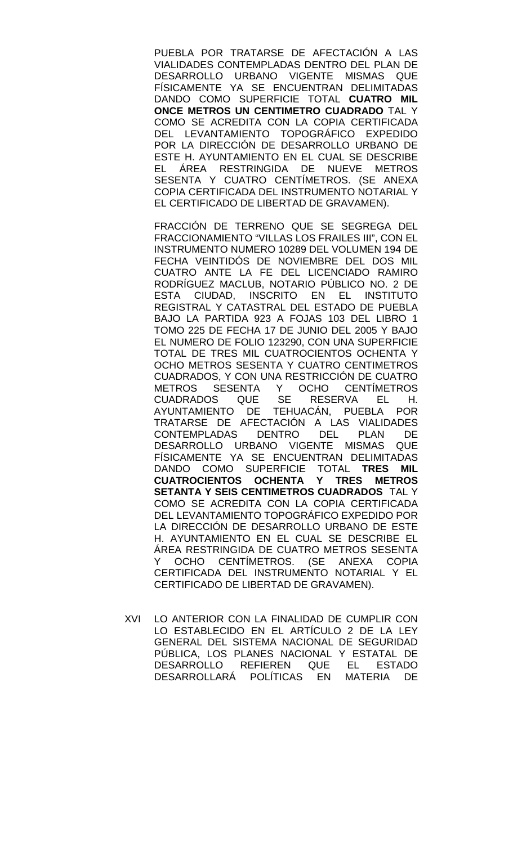PUEBLA POR TRATARSE DE AFECTACIÓN A LAS VIALIDADES CONTEMPLADAS DENTRO DEL PLAN DE DESARROLLO URBANO VIGENTE MISMAS QUE FÍSICAMENTE YA SE ENCUENTRAN DELIMITADAS DANDO COMO SUPERFICIE TOTAL **CUATRO MIL ONCE METROS UN CENTIMETRO CUADRADO** TAL Y COMO SE ACREDITA CON LA COPIA CERTIFICADA DEL LEVANTAMIENTO TOPOGRÁFICO EXPEDIDO POR LA DIRECCIÓN DE DESARROLLO URBANO DE ESTE H. AYUNTAMIENTO EN EL CUAL SE DESCRIBE EL ÁREA RESTRINGIDA DE NUEVE METROS SESENTA Y CUATRO CENTÍMETROS. (SE ANEXA COPIA CERTIFICADA DEL INSTRUMENTO NOTARIAL Y EL CERTIFICADO DE LIBERTAD DE GRAVAMEN).

FRACCIÓN DE TERRENO QUE SE SEGREGA DEL FRACCIONAMIENTO "VILLAS LOS FRAILES III", CON EL INSTRUMENTO NUMERO 10289 DEL VOLUMEN 194 DE FECHA VEINTIDÓS DE NOVIEMBRE DEL DOS MIL CUATRO ANTE LA FE DEL LICENCIADO RAMIRO RODRÍGUEZ MACLUB, NOTARIO PÚBLICO NO. 2 DE ESTA CIUDAD, INSCRITO EN EL INSTITUTO REGISTRAL Y CATASTRAL DEL ESTADO DE PUEBLA BAJO LA PARTIDA 923 A FOJAS 103 DEL LIBRO 1 TOMO 225 DE FECHA 17 DE JUNIO DEL 2005 Y BAJO EL NUMERO DE FOLIO 123290, CON UNA SUPERFICIE TOTAL DE TRES MIL CUATROCIENTOS OCHENTA Y OCHO METROS SESENTA Y CUATRO CENTIMETROS CUADRADOS, Y CON UNA RESTRICCIÓN DE CUATRO Y OCHO CENTÍMETROS<br>SE RESERVA EL H. CUADRADOS QUE SE RESERVA EL H. TEHUACÁN, PUEBLA POR TRATARSE DE AFECTACIÓN A LAS VIALIDADES CONTEMPLADAS DENTRO DESARROLLO URBANO VIGENTE MISMAS QUE FÍSICAMENTE YA SE ENCUENTRAN DELIMITADAS DANDO COMO SUPERFICIE TOTAL **TRES MIL CUATROCIENTOS OCHENTA Y TRES METROS SETANTA Y SEIS CENTIMETROS CUADRADOS** TAL Y COMO SE ACREDITA CON LA COPIA CERTIFICADA DEL LEVANTAMIENTO TOPOGRÁFICO EXPEDIDO POR LA DIRECCIÓN DE DESARROLLO URBANO DE ESTE H. AYUNTAMIENTO EN EL CUAL SE DESCRIBE EL ÁREA RESTRINGIDA DE CUATRO METROS SESENTA Y OCHO CENTÍMETROS. (SE ANEXA COPIA CERTIFICADA DEL INSTRUMENTO NOTARIAL Y EL CERTIFICADO DE LIBERTAD DE GRAVAMEN).

XVI LO ANTERIOR CON LA FINALIDAD DE CUMPLIR CON LO ESTABLECIDO EN EL ARTÍCULO 2 DE LA LEY GENERAL DEL SISTEMA NACIONAL DE SEGURIDAD PÚBLICA, LOS PLANES NACIONAL Y ESTATAL DE DESARROLLO REFIEREN QUE EL ESTADO DESARROLLARÁ POLÍTICAS EN MATERIA DE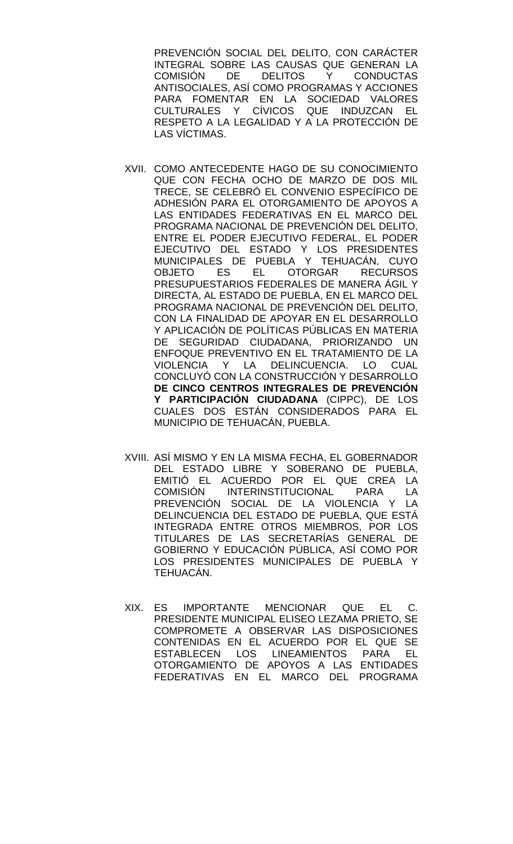PREVENCIÓN SOCIAL DEL DELITO, CON CARÁCTER INTEGRAL SOBRE LAS CAUSAS QUE GENERAN LA COMISIÓN DE DELITOS Y CONDUCTAS ANTISOCIALES, ASÍ COMO PROGRAMAS Y ACCIONES PARA FOMENTAR EN LA SOCIEDAD VALORES CULTURALES Y CÍVICOS QUE INDUZCAN EL RESPETO A LA LEGALIDAD Y A LA PROTECCIÓN DE LAS VÍCTIMAS.

- XVII. COMO ANTECEDENTE HAGO DE SU CONOCIMIENTO QUE CON FECHA OCHO DE MARZO DE DOS MIL TRECE, SE CELEBRÓ EL CONVENIO ESPECÍFICO DE ADHESIÓN PARA EL OTORGAMIENTO DE APOYOS A LAS ENTIDADES FEDERATIVAS EN EL MARCO DEL PROGRAMA NACIONAL DE PREVENCIÓN DEL DELITO, ENTRE EL PODER EJECUTIVO FEDERAL, EL PODER EJECUTIVO DEL ESTADO Y LOS PRESIDENTES MUNICIPALES DE PUEBLA Y TEHUACÁN, CUYO OBJETO ES EL OTORGAR RECURSOS PRESUPUESTARIOS FEDERALES DE MANERA ÁGIL Y DIRECTA, AL ESTADO DE PUEBLA, EN EL MARCO DEL PROGRAMA NACIONAL DE PREVENCIÓN DEL DELITO, CON LA FINALIDAD DE APOYAR EN EL DESARROLLO Y APLICACIÓN DE POLÍTICAS PÚBLICAS EN MATERIA DE SEGURIDAD CIUDADANA, PRIORIZANDO UN ENFOQUE PREVENTIVO EN EL TRATAMIENTO DE LA VIOLENCIA Y LA DELINCUENCIA. LO CUAL CONCLUYÓ CON LA CONSTRUCCIÓN Y DESARROLLO **DE CINCO CENTROS INTEGRALES DE PREVENCIÓN Y PARTICIPACIÓN CIUDADANA** (CIPPC), DE LOS CUALES DOS ESTÁN CONSIDERADOS PARA EL MUNICIPIO DE TEHUACÁN, PUEBLA.
- XVIII. ASÍ MISMO Y EN LA MISMA FECHA, EL GOBERNADOR DEL ESTADO LIBRE Y SOBERANO DE PUEBLA, EMITIÓ EL ACUERDO POR EL QUE CREA LA COMISIÓN INTERINSTITUCIONAL PARA LA PREVENCIÓN SOCIAL DE LA VIOLENCIA Y LA DELINCUENCIA DEL ESTADO DE PUEBLA, QUE ESTÁ INTEGRADA ENTRE OTROS MIEMBROS, POR LOS TITULARES DE LAS SECRETARÍAS GENERAL DE GOBIERNO Y EDUCACIÓN PÚBLICA, ASÍ COMO POR LOS PRESIDENTES MUNICIPALES DE PUEBLA Y TEHUACÁN.
- XIX. ES IMPORTANTE MENCIONAR QUE EL C. PRESIDENTE MUNICIPAL ELISEO LEZAMA PRIETO, SE COMPROMETE A OBSERVAR LAS DISPOSICIONES CONTENIDAS EN EL ACUERDO POR EL QUE SE ESTABLECEN LOS LINEAMIENTOS PARA EL OTORGAMIENTO DE APOYOS A LAS ENTIDADES FEDERATIVAS EN EL MARCO DEL PROGRAMA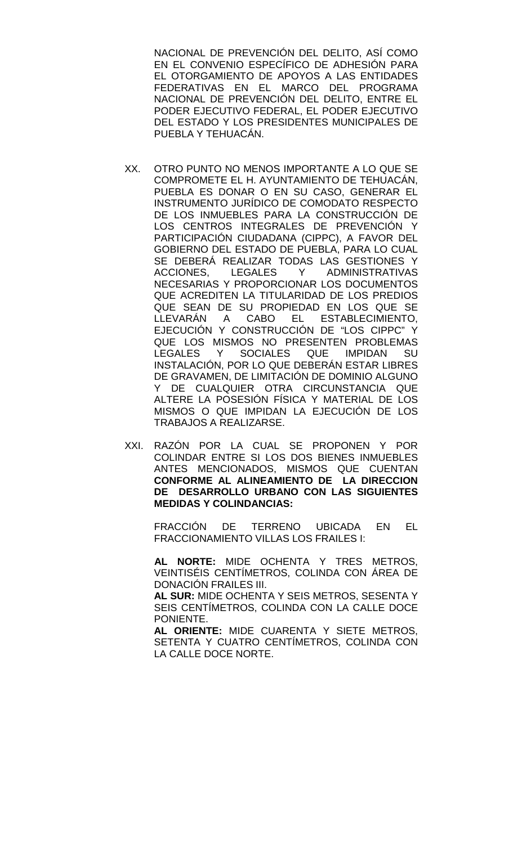NACIONAL DE PREVENCIÓN DEL DELITO, ASÍ COMO EN EL CONVENIO ESPECÍFICO DE ADHESIÓN PARA EL OTORGAMIENTO DE APOYOS A LAS ENTIDADES FEDERATIVAS EN EL MARCO DEL PROGRAMA NACIONAL DE PREVENCIÓN DEL DELITO, ENTRE EL PODER EJECUTIVO FEDERAL, EL PODER EJECUTIVO DEL ESTADO Y LOS PRESIDENTES MUNICIPALES DE PUEBLA Y TEHUACÁN.

- XX. OTRO PUNTO NO MENOS IMPORTANTE A LO QUE SE COMPROMETE EL H. AYUNTAMIENTO DE TEHUACÁN, PUEBLA ES DONAR O EN SU CASO, GENERAR EL INSTRUMENTO JURÍDICO DE COMODATO RESPECTO DE LOS INMUEBLES PARA LA CONSTRUCCIÓN DE LOS CENTROS INTEGRALES DE PREVENCIÓN Y PARTICIPACIÓN CIUDADANA (CIPPC), A FAVOR DEL GOBIERNO DEL ESTADO DE PUEBLA, PARA LO CUAL SE DEBERÁ REALIZAR TODAS LAS GESTIONES Y ACCIONES, LEGALES Y ADMINISTRATIVAS NECESARIAS Y PROPORCIONAR LOS DOCUMENTOS QUE ACREDITEN LA TITULARIDAD DE LOS PREDIOS QUE SEAN DE SU PROPIEDAD EN LOS QUE SE<br>LLEVARÁN A CABO EL ESTABLECIMIENTO, CABO EL ESTABLECIMIENTO, EJECUCIÓN Y CONSTRUCCIÓN DE "LOS CIPPC" Y QUE LOS MISMOS NO PRESENTEN PROBLEMAS LEGALES Y SOCIALES QUE IMPIDAN SU INSTALACIÓN, POR LO QUE DEBERÁN ESTAR LIBRES DE GRAVAMEN, DE LIMITACIÓN DE DOMINIO ALGUNO Y DE CUALQUIER OTRA CIRCUNSTANCIA QUE ALTERE LA POSESIÓN FÍSICA Y MATERIAL DE LOS MISMOS O QUE IMPIDAN LA EJECUCIÓN DE LOS TRABAJOS A REALIZARSE.
- XXI. RAZÓN POR LA CUAL SE PROPONEN Y POR COLINDAR ENTRE SI LOS DOS BIENES INMUEBLES ANTES MENCIONADOS, MISMOS QUE CUENTAN **CONFORME AL ALINEAMIENTO DE LA DIRECCION DE DESARROLLO URBANO CON LAS SIGUIENTES MEDIDAS Y COLINDANCIAS:**

FRACCIÓN DE TERRENO UBICADA EN EL FRACCIONAMIENTO VILLAS LOS FRAILES I:

**AL NORTE:** MIDE OCHENTA Y TRES METROS, VEINTISÉIS CENTÍMETROS, COLINDA CON ÁREA DE DONACIÓN FRAILES III.

**AL SUR:** MIDE OCHENTA Y SEIS METROS, SESENTA Y SEIS CENTÍMETROS, COLINDA CON LA CALLE DOCE PONIENTE.

**AL ORIENTE:** MIDE CUARENTA Y SIETE METROS, SETENTA Y CUATRO CENTÍMETROS, COLINDA CON LA CALLE DOCE NORTE.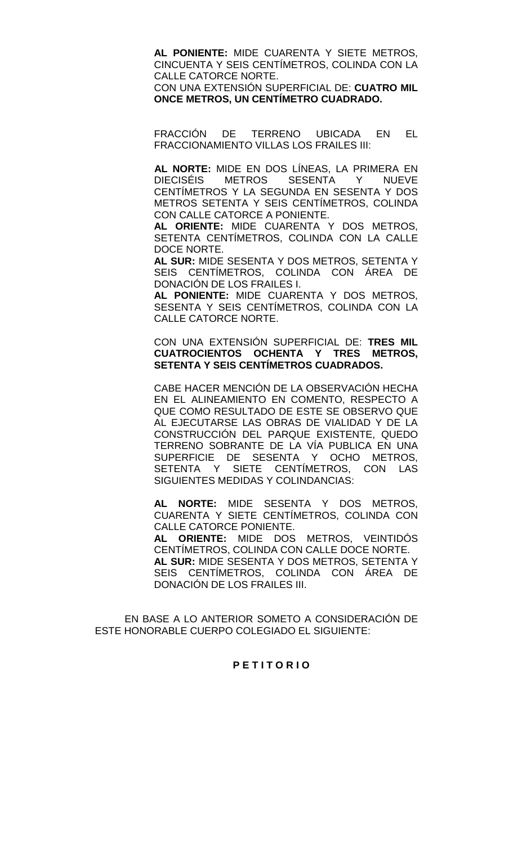**AL PONIENTE:** MIDE CUARENTA Y SIETE METROS, CINCUENTA Y SEIS CENTÍMETROS, COLINDA CON LA CALLE CATORCE NORTE.

CON UNA EXTENSIÓN SUPERFICIAL DE: **CUATRO MIL ONCE METROS, UN CENTÍMETRO CUADRADO.**

FRACCIÓN DE TERRENO UBICADA EN EL FRACCIONAMIENTO VILLAS LOS FRAILES III:

**AL NORTE:** MIDE EN DOS LÍNEAS, LA PRIMERA EN DIECISÉIS METROS SESENTA Y NUEVE CENTÍMETROS Y LA SEGUNDA EN SESENTA Y DOS METROS SETENTA Y SEIS CENTÍMETROS, COLINDA CON CALLE CATORCE A PONIENTE.

**AL ORIENTE:** MIDE CUARENTA Y DOS METROS, SETENTA CENTÍMETROS, COLINDA CON LA CALLE DOCE NORTE.

**AL SUR:** MIDE SESENTA Y DOS METROS, SETENTA Y SEIS CENTÍMETROS, COLINDA CON ÁREA DE DONACIÓN DE LOS FRAILES I.

**AL PONIENTE:** MIDE CUARENTA Y DOS METROS, SESENTA Y SEIS CENTÍMETROS, COLINDA CON LA CALLE CATORCE NORTE.

CON UNA EXTENSIÓN SUPERFICIAL DE: **TRES MIL CUATROCIENTOS OCHENTA Y TRES METROS, SETENTA Y SEIS CENTÍMETROS CUADRADOS.**

CABE HACER MENCIÓN DE LA OBSERVACIÓN HECHA EN EL ALINEAMIENTO EN COMENTO, RESPECTO A QUE COMO RESULTADO DE ESTE SE OBSERVO QUE AL EJECUTARSE LAS OBRAS DE VIALIDAD Y DE LA CONSTRUCCIÓN DEL PARQUE EXISTENTE, QUEDO TERRENO SOBRANTE DE LA VÍA PUBLICA EN UNA SUPERFICIE DE SESENTA Y OCHO METROS, SETENTA Y SIETE CENTÍMETROS, CON LAS SIGUIENTES MEDIDAS Y COLINDANCIAS:

**AL NORTE:** MIDE SESENTA Y DOS METROS, CUARENTA Y SIETE CENTÍMETROS, COLINDA CON CALLE CATORCE PONIENTE.

**AL ORIENTE:** MIDE DOS METROS, VEINTIDÓS CENTÍMETROS, COLINDA CON CALLE DOCE NORTE. **AL SUR:** MIDE SESENTA Y DOS METROS, SETENTA Y SEIS CENTÍMETROS, COLINDA CON ÁREA DE DONACIÓN DE LOS FRAILES III.

EN BASE A LO ANTERIOR SOMETO A CONSIDERACIÓN DE ESTE HONORABLE CUERPO COLEGIADO EL SIGUIENTE:

# **P E T I T O R I O**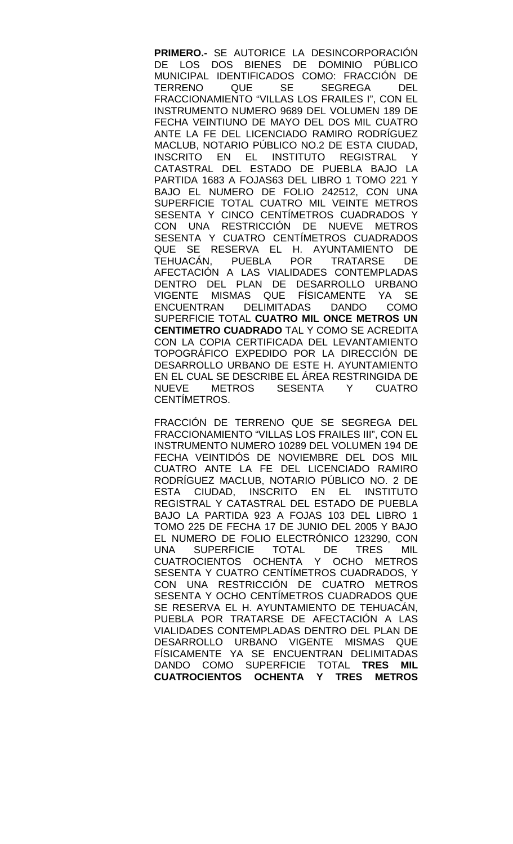**PRIMERO.-** SE AUTORICE LA DESINCORPORACIÓN DE LOS DOS BIENES DE DOMINIO PÚBLICO MUNICIPAL IDENTIFICADOS COMO: FRACCIÓN DE<br>TERRENO QUE SE SEGREGA DEL SEGREGA DEL FRACCIONAMIENTO "VILLAS LOS FRAILES I", CON EL INSTRUMENTO NUMERO 9689 DEL VOLUMEN 189 DE FECHA VEINTIUNO DE MAYO DEL DOS MIL CUATRO ANTE LA FE DEL LICENCIADO RAMIRO RODRÍGUEZ MACLUB, NOTARIO PÚBLICO NO.2 DE ESTA CIUDAD, INSCRITO EN EL INSTITUTO REGISTRAL CATASTRAL DEL ESTADO DE PUEBLA BAJO LA PARTIDA 1683 A FOJAS63 DEL LIBRO 1 TOMO 221 Y BAJO EL NUMERO DE FOLIO 242512, CON UNA SUPERFICIE TOTAL CUATRO MIL VEINTE METROS SESENTA Y CINCO CENTÍMETROS CUADRADOS Y CON UNA RESTRICCIÓN DE NUEVE METROS SESENTA Y CUATRO CENTÍMETROS CUADRADOS QUE SE RESERVA EL H. AYUNTAMIENTO DE TEHUACÁN, PUEBLA POR TRATARSE DE AFECTACIÓN A LAS VIALIDADES CONTEMPLADAS DENTRO DEL PLAN DE DESARROLLO URBANO VIGENTE MISMAS QUE FÍSICAMENTE YA SE ENCUENTRAN DELIMITADAS DANDO COMO SUPERFICIE TOTAL **CUATRO MIL ONCE METROS UN CENTIMETRO CUADRADO** TAL Y COMO SE ACREDITA CON LA COPIA CERTIFICADA DEL LEVANTAMIENTO TOPOGRÁFICO EXPEDIDO POR LA DIRECCIÓN DE DESARROLLO URBANO DE ESTE H. AYUNTAMIENTO EN EL CUAL SE DESCRIBE EL ÁREA RESTRINGIDA DE<br>NUEVE METROS SESENTA Y CUATRO SESENTA CENTÍMETROS.

FRACCIÓN DE TERRENO QUE SE SEGREGA DEL FRACCIONAMIENTO "VILLAS LOS FRAILES III", CON EL INSTRUMENTO NUMERO 10289 DEL VOLUMEN 194 DE FECHA VEINTIDÓS DE NOVIEMBRE DEL DOS MIL CUATRO ANTE LA FE DEL LICENCIADO RAMIRO RODRÍGUEZ MACLUB, NOTARIO PÚBLICO NO. 2 DE ESTA CIUDAD, INSCRITO EN EL INSTITUTO REGISTRAL Y CATASTRAL DEL ESTADO DE PUEBLA BAJO LA PARTIDA 923 A FOJAS 103 DEL LIBRO 1 TOMO 225 DE FECHA 17 DE JUNIO DEL 2005 Y BAJO EL NUMERO DE FOLIO ELECTRÓNICO 123290, CON UNA SUPERFICIE TOTAL DE TRES MIL CUATROCIENTOS OCHENTA Y OCHO METROS SESENTA Y CUATRO CENTÍMETROS CUADRADOS, Y CON UNA RESTRICCIÓN DE CUATRO METROS SESENTA Y OCHO CENTÍMETROS CUADRADOS QUE SE RESERVA EL H. AYUNTAMIENTO DE TEHUACÁN, PUEBLA POR TRATARSE DE AFECTACIÓN A LAS VIALIDADES CONTEMPLADAS DENTRO DEL PLAN DE DESARROLLO URBANO VIGENTE MISMAS QUE FÍSICAMENTE YA SE ENCUENTRAN DELIMITADAS DANDO COMO SUPERFICIE TOTAL **TRES MIL CUATROCIENTOS OCHENTA Y TRES METROS**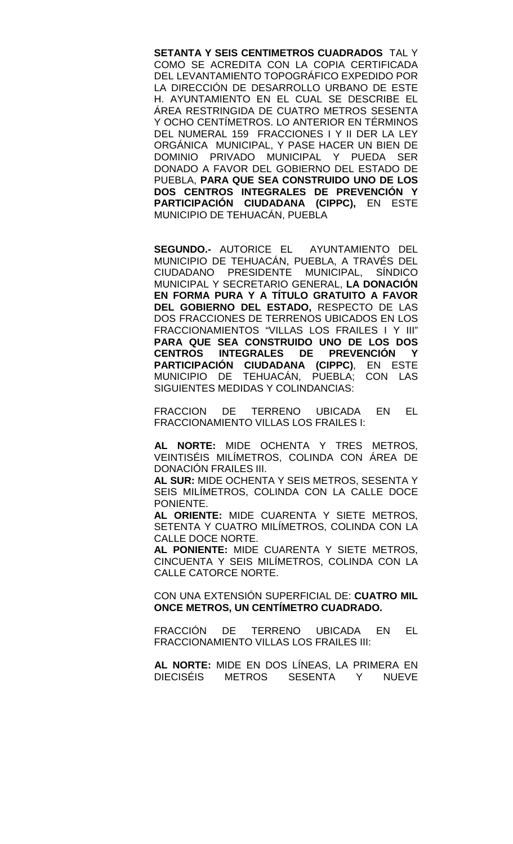**SETANTA Y SEIS CENTIMETROS CUADRADOS** TAL Y COMO SE ACREDITA CON LA COPIA CERTIFICADA DEL LEVANTAMIENTO TOPOGRÁFICO EXPEDIDO POR LA DIRECCIÓN DE DESARROLLO URBANO DE ESTE H. AYUNTAMIENTO EN EL CUAL SE DESCRIBE EL ÁREA RESTRINGIDA DE CUATRO METROS SESENTA Y OCHO CENTÍMETROS. LO ANTERIOR EN TÉRMINOS DEL NUMERAL 159 FRACCIONES I Y II DER LA LEY ORGÁNICA MUNICIPAL, Y PASE HACER UN BIEN DE DOMINIO PRIVADO MUNICIPAL Y PUEDA SER DONADO A FAVOR DEL GOBIERNO DEL ESTADO DE PUEBLA, **PARA QUE SEA CONSTRUIDO UNO DE LOS DOS CENTROS INTEGRALES DE PREVENCIÓN Y PARTICIPACIÓN CIUDADANA (CIPPC),** EN ESTE MUNICIPIO DE TEHUACÁN, PUEBLA

**SEGUNDO.-** AUTORICE EL AYUNTAMIENTO DEL MUNICIPIO DE TEHUACÁN, PUEBLA, A TRAVÉS DEL CIUDADANO PRESIDENTE MUNICIPAL, SÍNDICO MUNICIPAL Y SECRETARIO GENERAL, **LA DONACIÓN EN FORMA PURA Y A TÍTULO GRATUITO A FAVOR DEL GOBIERNO DEL ESTADO,** RESPECTO DE LAS DOS FRACCIONES DE TERRENOS UBICADOS EN LOS FRACCIONAMIENTOS "VILLAS LOS FRAILES I Y III" **PARA QUE SEA CONSTRUIDO UNO DE LOS DOS CENTROS INTEGRALES DE PREVENCIÓN Y PARTICIPACIÓN CIUDADANA (CIPPC)**, EN ESTE MUNICIPIO DE TEHUACÁN, PUEBLA; CON LAS SIGUIENTES MEDIDAS Y COLINDANCIAS:

FRACCION DE TERRENO UBICADA EN EL FRACCIONAMIENTO VILLAS LOS FRAILES I:

**AL NORTE:** MIDE OCHENTA Y TRES METROS, VEINTISÉIS MILÍMETROS, COLINDA CON ÁREA DE DONACIÓN FRAILES III.

**AL SUR:** MIDE OCHENTA Y SEIS METROS, SESENTA Y SEIS MILÍMETROS, COLINDA CON LA CALLE DOCE PONIENTE.

**AL ORIENTE:** MIDE CUARENTA Y SIETE METROS, SETENTA Y CUATRO MILÍMETROS, COLINDA CON LA CALLE DOCE NORTE.

**AL PONIENTE:** MIDE CUARENTA Y SIETE METROS, CINCUENTA Y SEIS MILÍMETROS, COLINDA CON LA CALLE CATORCE NORTE.

CON UNA EXTENSIÓN SUPERFICIAL DE: **CUATRO MIL ONCE METROS, UN CENTÍMETRO CUADRADO.**

FRACCIÓN DE TERRENO UBICADA EN EL FRACCIONAMIENTO VILLAS LOS FRAILES III:

**AL NORTE:** MIDE EN DOS LÍNEAS, LA PRIMERA EN DIECISÉIS METROS SESENTA Y NUEVE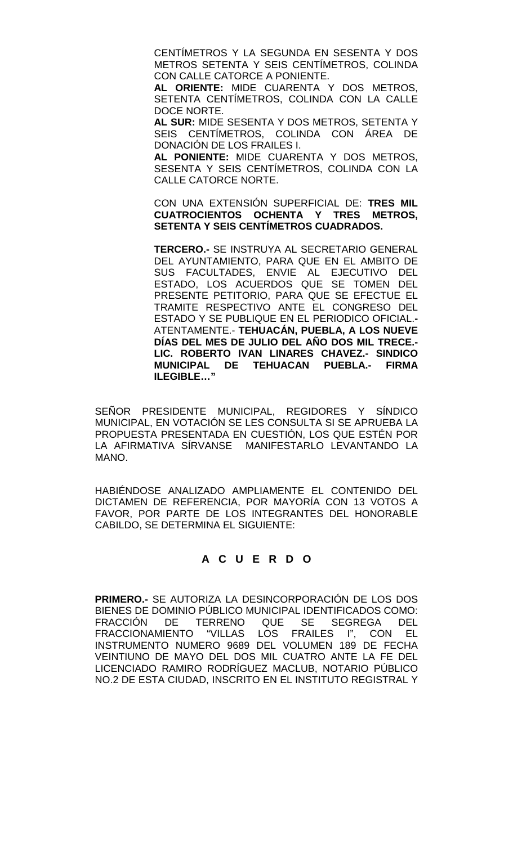CENTÍMETROS Y LA SEGUNDA EN SESENTA Y DOS METROS SETENTA Y SEIS CENTÍMETROS, COLINDA CON CALLE CATORCE A PONIENTE.

**AL ORIENTE:** MIDE CUARENTA Y DOS METROS, SETENTA CENTÍMETROS, COLINDA CON LA CALLE DOCE NORTE.

**AL SUR:** MIDE SESENTA Y DOS METROS, SETENTA Y SEIS CENTÍMETROS, COLINDA CON ÁREA DE DONACIÓN DE LOS FRAILES I.

**AL PONIENTE:** MIDE CUARENTA Y DOS METROS, SESENTA Y SEIS CENTÍMETROS, COLINDA CON LA CALLE CATORCE NORTE.

CON UNA EXTENSIÓN SUPERFICIAL DE: **TRES MIL CUATROCIENTOS OCHENTA Y TRES METROS, SETENTA Y SEIS CENTÍMETROS CUADRADOS.**

**TERCERO.-** SE INSTRUYA AL SECRETARIO GENERAL DEL AYUNTAMIENTO, PARA QUE EN EL AMBITO DE SUS FACULTADES, ENVIE AL EJECUTIVO DEL ESTADO, LOS ACUERDOS QUE SE TOMEN DEL PRESENTE PETITORIO, PARA QUE SE EFECTUE EL TRAMITE RESPECTIVO ANTE EL CONGRESO DEL ESTADO Y SE PUBLIQUE EN EL PERIODICO OFICIAL.**-** ATENTAMENTE.- **TEHUACÁN, PUEBLA, A LOS NUEVE DÍAS DEL MES DE JULIO DEL AÑO DOS MIL TRECE.- LIC. ROBERTO IVAN LINARES CHAVEZ.- SINDICO MUNICIPAL DE TEHUACAN PUEBLA.- FIRMA ILEGIBLE…"**

SEÑOR PRESIDENTE MUNICIPAL, REGIDORES Y SÍNDICO MUNICIPAL, EN VOTACIÓN SE LES CONSULTA SI SE APRUEBA LA PROPUESTA PRESENTADA EN CUESTIÓN, LOS QUE ESTÉN POR LA AFIRMATIVA SÍRVANSE MANIFESTARLO LEVANTANDO LA MANO.

HABIÉNDOSE ANALIZADO AMPLIAMENTE EL CONTENIDO DEL DICTAMEN DE REFERENCIA, POR MAYORÍA CON 13 VOTOS A FAVOR, POR PARTE DE LOS INTEGRANTES DEL HONORABLE CABILDO, SE DETERMINA EL SIGUIENTE:

# **A C U E R D O**

**PRIMERO.-** SE AUTORIZA LA DESINCORPORACIÓN DE LOS DOS BIENES DE DOMINIO PÚBLICO MUNICIPAL IDENTIFICADOS COMO: FRACCIÓN DE TERRENO QUE SE SEGREGA DEL FRACCIONAMIENTO "VILLAS LOS FRAILES I", CON EL INSTRUMENTO NUMERO 9689 DEL VOLUMEN 189 DE FECHA VEINTIUNO DE MAYO DEL DOS MIL CUATRO ANTE LA FE DEL LICENCIADO RAMIRO RODRÍGUEZ MACLUB, NOTARIO PÚBLICO NO.2 DE ESTA CIUDAD, INSCRITO EN EL INSTITUTO REGISTRAL Y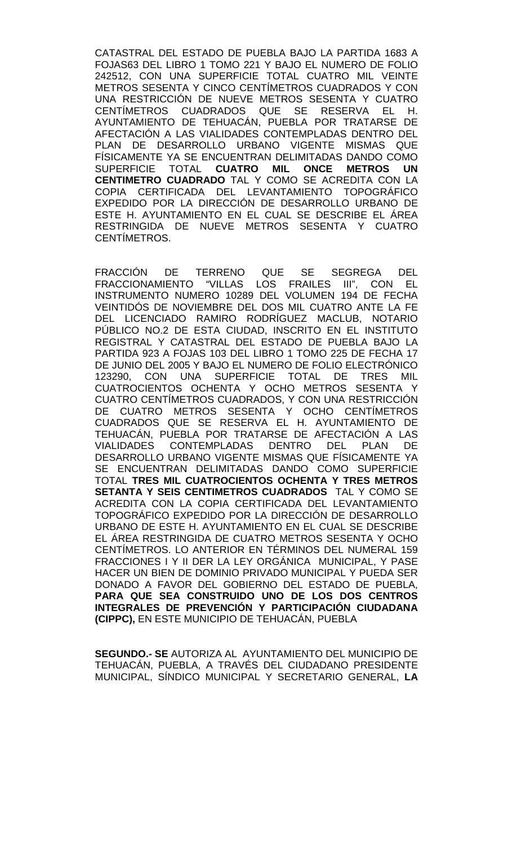CATASTRAL DEL ESTADO DE PUEBLA BAJO LA PARTIDA 1683 A FOJAS63 DEL LIBRO 1 TOMO 221 Y BAJO EL NUMERO DE FOLIO 242512, CON UNA SUPERFICIE TOTAL CUATRO MIL VEINTE METROS SESENTA Y CINCO CENTÍMETROS CUADRADOS Y CON UNA RESTRICCIÓN DE NUEVE METROS SESENTA Y CUATRO CENTÍMETROS CUADRADOS QUE SE RESERVA EL H. AYUNTAMIENTO DE TEHUACÁN, PUEBLA POR TRATARSE DE AFECTACIÓN A LAS VIALIDADES CONTEMPLADAS DENTRO DEL PLAN DE DESARROLLO URBANO VIGENTE MISMAS QUE FÍSICAMENTE YA SE ENCUENTRAN DELIMITADAS DANDO COMO SUPERFICIE TOTAL **CUATRO MIL ONCE METROS UN CENTIMETRO CUADRADO** TAL Y COMO SE ACREDITA CON LA COPIA CERTIFICADA DEL LEVANTAMIENTO TOPOGRÁFICO EXPEDIDO POR LA DIRECCIÓN DE DESARROLLO URBANO DE ESTE H. AYUNTAMIENTO EN EL CUAL SE DESCRIBE EL ÁREA RESTRINGIDA DE NUEVE METROS SESENTA Y CUATRO CENTÍMETROS.

FRACCIÓN DE TERRENO QUE SE SEGREGA DEL FRACCIONAMIENTO "VILLAS LOS FRAILES III", CON EL INSTRUMENTO NUMERO 10289 DEL VOLUMEN 194 DE FECHA VEINTIDÓS DE NOVIEMBRE DEL DOS MIL CUATRO ANTE LA FE DEL LICENCIADO RAMIRO RODRÍGUEZ MACLUB, NOTARIO PÚBLICO NO.2 DE ESTA CIUDAD, INSCRITO EN EL INSTITUTO REGISTRAL Y CATASTRAL DEL ESTADO DE PUEBLA BAJO LA PARTIDA 923 A FOJAS 103 DEL LIBRO 1 TOMO 225 DE FECHA 17 DE JUNIO DEL 2005 Y BAJO EL NUMERO DE FOLIO ELECTRÓNICO 123290, CON UNA SUPERFICIE TOTAL DE TRES MIL CUATROCIENTOS OCHENTA Y OCHO METROS SESENTA Y CUATRO CENTÍMETROS CUADRADOS, Y CON UNA RESTRICCIÓN DE CUATRO METROS SESENTA Y OCHO CENTÍMETROS CUADRADOS QUE SE RESERVA EL H. AYUNTAMIENTO DE TEHUACÁN, PUEBLA POR TRATARSE DE AFECTACIÓN A LAS<br>VIALIDADES CONTEMPLADAS DENTRO DEL PLAN DE VIALIDADES CONTEMPLADAS DESARROLLO URBANO VIGENTE MISMAS QUE FÍSICAMENTE YA SE ENCUENTRAN DELIMITADAS DANDO COMO SUPERFICIE TOTAL **TRES MIL CUATROCIENTOS OCHENTA Y TRES METROS SETANTA Y SEIS CENTIMETROS CUADRADOS** TAL Y COMO SE ACREDITA CON LA COPIA CERTIFICADA DEL LEVANTAMIENTO TOPOGRÁFICO EXPEDIDO POR LA DIRECCIÓN DE DESARROLLO URBANO DE ESTE H. AYUNTAMIENTO EN EL CUAL SE DESCRIBE EL ÁREA RESTRINGIDA DE CUATRO METROS SESENTA Y OCHO CENTÍMETROS. LO ANTERIOR EN TÉRMINOS DEL NUMERAL 159 FRACCIONES I Y II DER LA LEY ORGÁNICA MUNICIPAL, Y PASE HACER UN BIEN DE DOMINIO PRIVADO MUNICIPAL Y PUEDA SER DONADO A FAVOR DEL GOBIERNO DEL ESTADO DE PUEBLA, **PARA QUE SEA CONSTRUIDO UNO DE LOS DOS CENTROS**  INTEGRALES DE PREVENCION Y PARTICIPACION CIUDADANA **(CIPPC),** EN ESTE MUNICIPIO DE TEHUACÁN, PUEBLA

**SEGUNDO.- SE** AUTORIZA AL AYUNTAMIENTO DEL MUNICIPIO DE TEHUACÁN, PUEBLA, A TRAVÉS DEL CIUDADANO PRESIDENTE MUNICIPAL, SÍNDICO MUNICIPAL Y SECRETARIO GENERAL, **LA**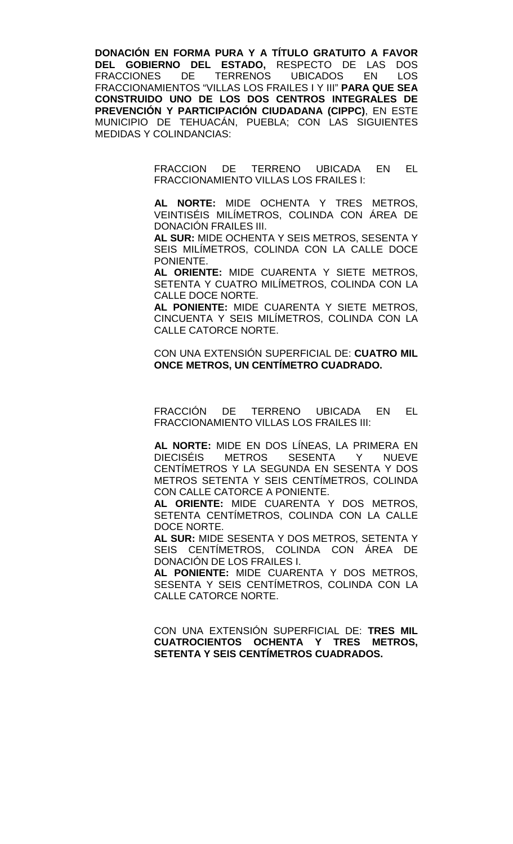**DONACIÓN EN FORMA PURA Y A TÍTULO GRATUITO A FAVOR DEL GOBIERNO DEL ESTADO,** RESPECTO DE LAS DOS **FRACCIONES** FRACCIONAMIENTOS "VILLAS LOS FRAILES I Y III" **PARA QUE SEA CONSTRUIDO UNO DE LOS DOS CENTROS INTEGRALES DE PREVENCIÓN Y PARTICIPACIÓN CIUDADANA (CIPPC)**, EN ESTE MUNICIPIO DE TEHUACÁN, PUEBLA; CON LAS SIGUIENTES MEDIDAS Y COLINDANCIAS:

> FRACCION DE TERRENO UBICADA EN EL FRACCIONAMIENTO VILLAS LOS FRAILES I:

> **AL NORTE:** MIDE OCHENTA Y TRES METROS, VEINTISÉIS MILÍMETROS, COLINDA CON ÁREA DE DONACIÓN FRAILES III.

> **AL SUR:** MIDE OCHENTA Y SEIS METROS, SESENTA Y SEIS MILÍMETROS, COLINDA CON LA CALLE DOCE PONIENTE.

> **AL ORIENTE:** MIDE CUARENTA Y SIETE METROS, SETENTA Y CUATRO MILÍMETROS, COLINDA CON LA CALLE DOCE NORTE.

> **AL PONIENTE:** MIDE CUARENTA Y SIETE METROS, CINCUENTA Y SEIS MILÍMETROS, COLINDA CON LA CALLE CATORCE NORTE.

> CON UNA EXTENSIÓN SUPERFICIAL DE: **CUATRO MIL ONCE METROS, UN CENTÍMETRO CUADRADO.**

> FRACCIÓN DE TERRENO UBICADA EN EL FRACCIONAMIENTO VILLAS LOS FRAILES III:

> **AL NORTE:** MIDE EN DOS LÍNEAS, LA PRIMERA EN SESENTA Y NUEVE CENTÍMETROS Y LA SEGUNDA EN SESENTA Y DOS METROS SETENTA Y SEIS CENTÍMETROS, COLINDA CON CALLE CATORCE A PONIENTE.

> **AL ORIENTE:** MIDE CUARENTA Y DOS METROS, SETENTA CENTÍMETROS, COLINDA CON LA CALLE DOCE NORTE.

> **AL SUR:** MIDE SESENTA Y DOS METROS, SETENTA Y SEIS CENTÍMETROS, COLINDA CON ÁREA DE DONACIÓN DE LOS FRAILES I.

> **AL PONIENTE:** MIDE CUARENTA Y DOS METROS, SESENTA Y SEIS CENTÍMETROS, COLINDA CON LA CALLE CATORCE NORTE.

> CON UNA EXTENSIÓN SUPERFICIAL DE: **TRES MIL CUATROCIENTOS OCHENTA Y TRES METROS, SETENTA Y SEIS CENTÍMETROS CUADRADOS.**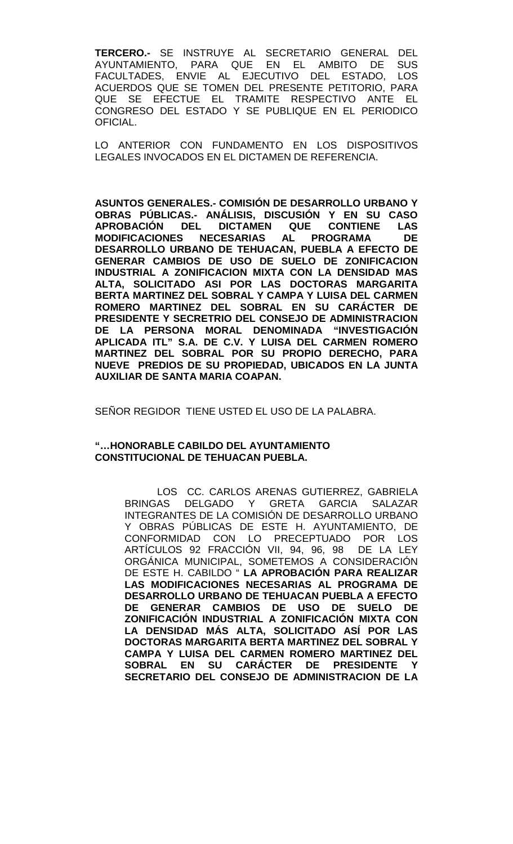**TERCERO.-** SE INSTRUYE AL SECRETARIO GENERAL DEL AYUNTAMIENTO, PARA QUE EN EL AMBITO DE FACULTADES, ENVIE AL EJECUTIVO DEL ESTADO, LOS ACUERDOS QUE SE TOMEN DEL PRESENTE PETITORIO, PARA QUE SE EFECTUE EL TRAMITE RESPECTIVO ANTE EL CONGRESO DEL ESTADO Y SE PUBLIQUE EN EL PERIODICO OFICIAL.

LO ANTERIOR CON FUNDAMENTO EN LOS DISPOSITIVOS LEGALES INVOCADOS EN EL DICTAMEN DE REFERENCIA.

**ASUNTOS GENERALES.- COMISIÓN DE DESARROLLO URBANO Y OBRAS PÚBLICAS.- ANÁLISIS, DISCUSIÓN Y EN SU CASO APROBACIÓN DICTAMEN QUE CONTIENE LAS<br>ECESARIAS AL PROGRAMA DE MODIFICACIONES NECESARIAS DESARROLLO URBANO DE TEHUACAN, PUEBLA A EFECTO DE GENERAR CAMBIOS DE USO DE SUELO DE ZONIFICACION INDUSTRIAL A ZONIFICACION MIXTA CON LA DENSIDAD MAS ALTA, SOLICITADO ASI POR LAS DOCTORAS MARGARITA BERTA MARTINEZ DEL SOBRAL Y CAMPA Y LUISA DEL CARMEN ROMERO MARTINEZ DEL SOBRAL EN SU CARÁCTER DE PRESIDENTE Y SECRETRIO DEL CONSEJO DE ADMINISTRACION DE LA PERSONA MORAL DENOMINADA "INVESTIGACIÓN APLICADA ITL" S.A. DE C.V. Y LUISA DEL CARMEN ROMERO MARTINEZ DEL SOBRAL POR SU PROPIO DERECHO, PARA NUEVE PREDIOS DE SU PROPIEDAD, UBICADOS EN LA JUNTA AUXILIAR DE SANTA MARIA COAPAN.**

SEÑOR REGIDOR TIENE USTED EL USO DE LA PALABRA.

# **"…HONORABLE CABILDO DEL AYUNTAMIENTO CONSTITUCIONAL DE TEHUACAN PUEBLA.**

LOS CC. CARLOS ARENAS GUTIERREZ, GABRIELA<br>BRINGAS DELGADO Y GRETA GARCIA SALAZAR DELGADO Y GRETA GARCIA SALAZAR INTEGRANTES DE LA COMISIÓN DE DESARROLLO URBANO Y OBRAS PÚBLICAS DE ESTE H. AYUNTAMIENTO, DE CONFORMIDAD CON LO PRECEPTUADO POR LOS ARTÍCULOS 92 FRACCIÓN VII, 94, 96, 98 DE LA LEY ORGÁNICA MUNICIPAL, SOMETEMOS A CONSIDERACIÓN DE ESTE H. CABILDO " **LA APROBACIÓN PARA REALIZAR LAS MODIFICACIONES NECESARIAS AL PROGRAMA DE DESARROLLO URBANO DE TEHUACAN PUEBLA A EFECTO DE GENERAR CAMBIOS DE USO DE SUELO DE ZONIFICACIÓN INDUSTRIAL A ZONIFICACIÓN MIXTA CON LA DENSIDAD MÁS ALTA, SOLICITADO ASÍ POR LAS DOCTORAS MARGARITA BERTA MARTINEZ DEL SOBRAL Y CAMPA Y LUISA DEL CARMEN ROMERO MARTINEZ DEL SOBRAL EN SU CARÁCTER DE PRESIDENTE Y SECRETARIO DEL CONSEJO DE ADMINISTRACION DE LA**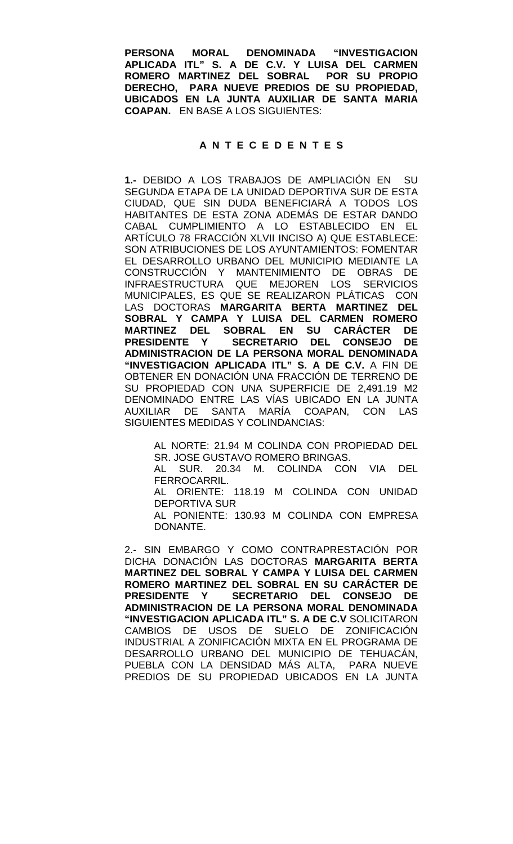**PERSONA MORAL DENOMINADA "INVESTIGACION APLICADA ITL" S. A DE C.V. Y LUISA DEL CARMEN ROMERO MARTINEZ DEL SOBRAL POR SU PROPIO DERECHO, PARA NUEVE PREDIOS DE SU PROPIEDAD, UBICADOS EN LA JUNTA AUXILIAR DE SANTA MARIA COAPAN.** EN BASE A LOS SIGUIENTES:

# **A N T E C E D E N T E S**

**1.-** DEBIDO A LOS TRABAJOS DE AMPLIACIÓN EN SU SEGUNDA ETAPA DE LA UNIDAD DEPORTIVA SUR DE ESTA CIUDAD, QUE SIN DUDA BENEFICIARÁ A TODOS LOS HABITANTES DE ESTA ZONA ADEMÁS DE ESTAR DANDO CABAL CUMPLIMIENTO A LO ESTABLECIDO EN EL ARTÍCULO 78 FRACCIÓN XLVII INCISO A) QUE ESTABLECE: SON ATRIBUCIONES DE LOS AYUNTAMIENTOS: FOMENTAR EL DESARROLLO URBANO DEL MUNICIPIO MEDIANTE LA CONSTRUCCIÓN Y MANTENIMIENTO DE OBRAS DE INFRAESTRUCTURA QUE MEJOREN LOS SERVICIOS MUNICIPALES, ES QUE SE REALIZARON PLÁTICAS CON LAS DOCTORAS **MARGARITA BERTA MARTINEZ DEL SOBRAL Y CAMPA Y LUISA DEL CARMEN ROMERO MARTINEZ DEL SOBRAL EN SU CARÁCTER DE PRESIDENTE Y SECRETARIO DEL CONSEJO DE ADMINISTRACION DE LA PERSONA MORAL DENOMINADA "INVESTIGACION APLICADA ITL" S. A DE C.V.** A FIN DE OBTENER EN DONACIÓN UNA FRACCIÓN DE TERRENO DE SU PROPIEDAD CON UNA SUPERFICIE DE 2,491.19 M2 DENOMINADO ENTRE LAS VÍAS UBICADO EN LA JUNTA AUXILIAR DE SANTA MARÍA COAPAN, CON LAS SIGUIENTES MEDIDAS Y COLINDANCIAS:

AL NORTE: 21.94 M COLINDA CON PROPIEDAD DEL SR. JOSE GUSTAVO ROMERO BRINGAS.

AL SUR. 20.34 M. COLINDA CON VIA DEL FERROCARRIL.

AL ORIENTE: 118.19 M COLINDA CON UNIDAD DEPORTIVA SUR

AL PONIENTE: 130.93 M COLINDA CON EMPRESA DONANTE.

2.- SIN EMBARGO Y COMO CONTRAPRESTACIÓN POR DICHA DONACIÓN LAS DOCTORAS **MARGARITA BERTA MARTINEZ DEL SOBRAL Y CAMPA Y LUISA DEL CARMEN ROMERO MARTINEZ DEL SOBRAL EN SU CARÁCTER DE PRESIDENTE Y SECRETARIO DEL CONSEJO DE ADMINISTRACION DE LA PERSONA MORAL DENOMINADA "INVESTIGACION APLICADA ITL" S. A DE C.V** SOLICITARON CAMBIOS DE USOS DE SUELO DE ZONIFICACIÓN INDUSTRIAL A ZONIFICACIÓN MIXTA EN EL PROGRAMA DE DESARROLLO URBANO DEL MUNICIPIO DE TEHUACÁN, PUEBLA CON LA DENSIDAD MÁS ALTA, PARA NUEVE PREDIOS DE SU PROPIEDAD UBICADOS EN LA JUNTA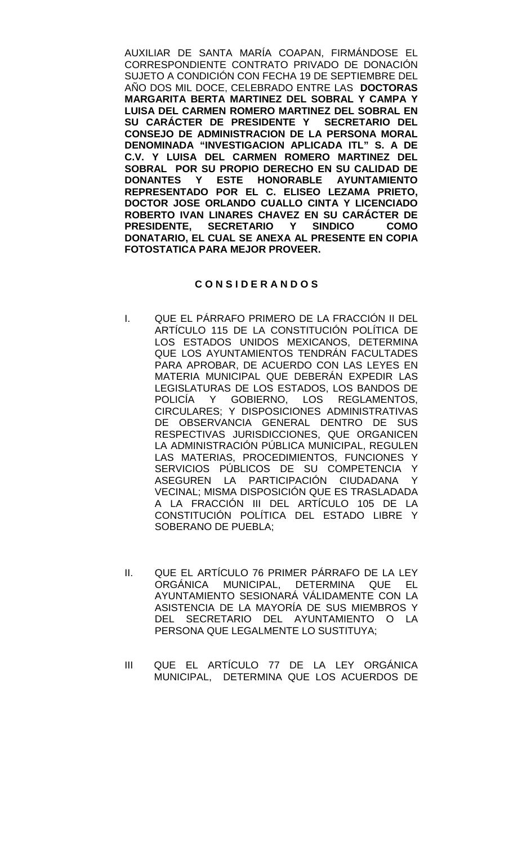AUXILIAR DE SANTA MARÍA COAPAN, FIRMÁNDOSE EL CORRESPONDIENTE CONTRATO PRIVADO DE DONACIÓN SUJETO A CONDICIÓN CON FECHA 19 DE SEPTIEMBRE DEL AÑO DOS MIL DOCE, CELEBRADO ENTRE LAS **DOCTORAS MARGARITA BERTA MARTINEZ DEL SOBRAL Y CAMPA Y LUISA DEL CARMEN ROMERO MARTINEZ DEL SOBRAL EN SU CARÁCTER DE PRESIDENTE Y SECRETARIO DEL CONSEJO DE ADMINISTRACION DE LA PERSONA MORAL DENOMINADA "INVESTIGACION APLICADA ITL" S. A DE C.V. Y LUISA DEL CARMEN ROMERO MARTINEZ DEL SOBRAL POR SU PROPIO DERECHO EN SU CALIDAD DE DONANTES Y ESTE HONORABLE AYUNTAMIENTO REPRESENTADO POR EL C. ELISEO LEZAMA PRIETO, DOCTOR JOSE ORLANDO CUALLO CINTA Y LICENCIADO ROBERTO IVAN LINARES CHAVEZ EN SU CARÁCTER DE PRESIGERETARIO Y SINDICO DONATARIO, EL CUAL SE ANEXA AL PRESENTE EN COPIA FOTOSTATICA PARA MEJOR PROVEER.** 

# **C O N S I D E R A N D O S**

- I. QUE EL PÁRRAFO PRIMERO DE LA FRACCIÓN II DEL ARTÍCULO 115 DE LA CONSTITUCIÓN POLÍTICA DE LOS ESTADOS UNIDOS MEXICANOS, DETERMINA QUE LOS AYUNTAMIENTOS TENDRÁN FACULTADES PARA APROBAR, DE ACUERDO CON LAS LEYES EN MATERIA MUNICIPAL QUE DEBERÁN EXPEDIR LAS LEGISLATURAS DE LOS ESTADOS, LOS BANDOS DE POLICÍA Y GOBIERNO, LOS REGLAMENTOS, CIRCULARES; Y DISPOSICIONES ADMINISTRATIVAS DE OBSERVANCIA GENERAL DENTRO DE SUS RESPECTIVAS JURISDICCIONES, QUE ORGANICEN LA ADMINISTRACIÓN PÚBLICA MUNICIPAL, REGULEN LAS MATERIAS, PROCEDIMIENTOS, FUNCIONES Y SERVICIOS PÚBLICOS DE SU COMPETENCIA Y ASEGUREN LA PARTICIPACIÓN CIUDADANA Y VECINAL; MISMA DISPOSICIÓN QUE ES TRASLADADA A LA FRACCIÓN III DEL ARTÍCULO 105 DE LA CONSTITUCIÓN POLÍTICA DEL ESTADO LIBRE Y SOBERANO DE PUEBLA;
- II. QUE EL ARTÍCULO 76 PRIMER PÁRRAFO DE LA LEY ORGÁNICA MUNICIPAL, DETERMINA QUE EL AYUNTAMIENTO SESIONARÁ VÁLIDAMENTE CON LA ASISTENCIA DE LA MAYORÍA DE SUS MIEMBROS Y DEL SECRETARIO DEL AYUNTAMIENTO O LA PERSONA QUE LEGALMENTE LO SUSTITUYA;
- III QUE EL ARTÍCULO 77 DE LA LEY ORGÁNICA MUNICIPAL, DETERMINA QUE LOS ACUERDOS DE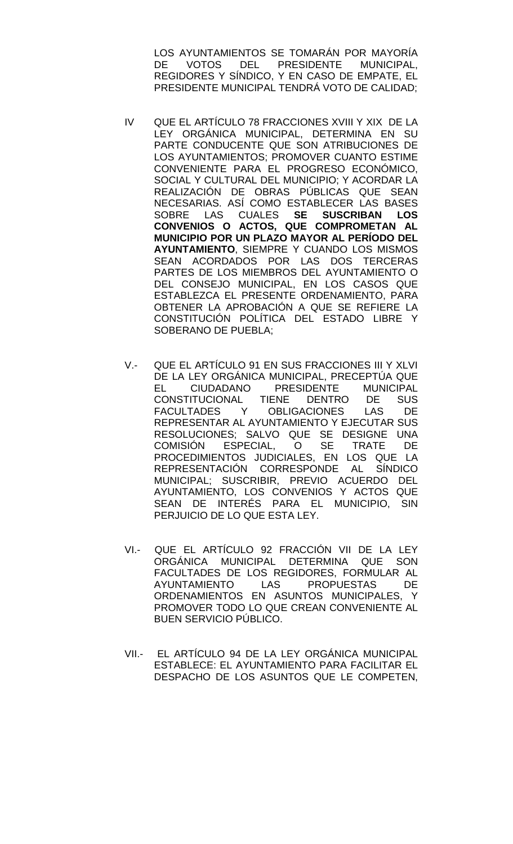LOS AYUNTAMIENTOS SE TOMARÁN POR MAYORÍA<br>DE VOTOS DEL PRESIDENTE MUNICIPAL. VOTOS DEL PRESIDENTE MUNICIPAL, REGIDORES Y SÍNDICO, Y EN CASO DE EMPATE, EL PRESIDENTE MUNICIPAL TENDRÁ VOTO DE CALIDAD;

- IV QUE EL ARTÍCULO 78 FRACCIONES XVIII Y XIX DE LA LEY ORGÁNICA MUNICIPAL, DETERMINA EN SU PARTE CONDUCENTE QUE SON ATRIBUCIONES DE LOS AYUNTAMIENTOS; PROMOVER CUANTO ESTIME CONVENIENTE PARA EL PROGRESO ECONÓMICO, SOCIAL Y CULTURAL DEL MUNICIPIO; Y ACORDAR LA REALIZACIÓN DE OBRAS PÚBLICAS QUE SEAN NECESARIAS. ASÍ COMO ESTABLECER LAS BASES SOBRE LAS CUALES **SE SUSCRIBAN LOS CONVENIOS O ACTOS, QUE COMPROMETAN AL MUNICIPIO POR UN PLAZO MAYOR AL PERÍODO DEL AYUNTAMIENTO**, SIEMPRE Y CUANDO LOS MISMOS SEAN ACORDADOS POR LAS DOS TERCERAS PARTES DE LOS MIEMBROS DEL AYUNTAMIENTO O DEL CONSEJO MUNICIPAL, EN LOS CASOS QUE ESTABLEZCA EL PRESENTE ORDENAMIENTO, PARA OBTENER LA APROBACIÓN A QUE SE REFIERE LA CONSTITUCIÓN POLÍTICA DEL ESTADO LIBRE Y SOBERANO DE PUEBLA;
- V.- QUE EL ARTÍCULO 91 EN SUS FRACCIONES III Y XLVI DE LA LEY ORGÁNICA MUNICIPAL, PRECEPTÚA QUE<br>EL CIUDADANO PRESIDENTE MUNICIPAL CIUDADANO PRESIDENTE MUNICIPAL CONSTITUCIONAL TIENE DENTRO DE SUS FACULTADES Y OBLIGACIONES LAS DE REPRESENTAR AL AYUNTAMIENTO Y EJECUTAR SUS RESOLUCIONES; SALVO QUE SE DESIGNE UNA COMISIÓN ESPECIAL, O SE TRATE DE PROCEDIMIENTOS JUDICIALES, EN LOS QUE LA REPRESENTACIÓN CORRESPONDE AL SÍNDICO MUNICIPAL; SUSCRIBIR, PREVIO ACUERDO DEL AYUNTAMIENTO, LOS CONVENIOS Y ACTOS QUE SEAN DE INTERÉS PARA EL MUNICIPIO, SIN PERJUICIO DE LO QUE ESTA LEY.
- VI.- QUE EL ARTÍCULO 92 FRACCIÓN VII DE LA LEY ORGÁNICA MUNICIPAL DETERMINA QUE SON FACULTADES DE LOS REGIDORES, FORMULAR AL<br>AYUNTAMIENTO LAS PROPUESTAS DE LAS PROPUESTAS DE ORDENAMIENTOS EN ASUNTOS MUNICIPALES, Y PROMOVER TODO LO QUE CREAN CONVENIENTE AL BUEN SERVICIO PÚBLICO.
- VII.- EL ARTÍCULO 94 DE LA LEY ORGÁNICA MUNICIPAL ESTABLECE: EL AYUNTAMIENTO PARA FACILITAR EL DESPACHO DE LOS ASUNTOS QUE LE COMPETEN,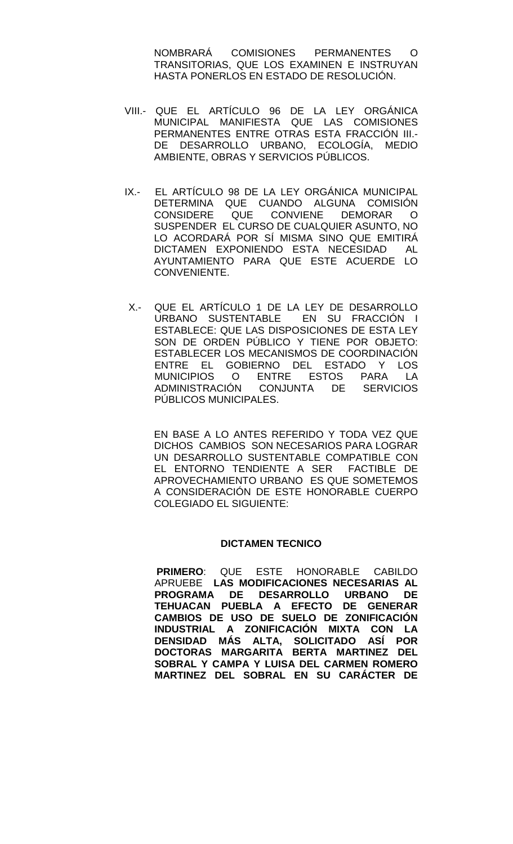NOMBRARÁ COMISIONES PERMANENTES O TRANSITORIAS, QUE LOS EXAMINEN E INSTRUYAN HASTA PONERLOS EN ESTADO DE RESOLUCIÓN.

- VIII.- QUE EL ARTÍCULO 96 DE LA LEY ORGÁNICA MUNICIPAL MANIFIESTA QUE LAS COMISIONES PERMANENTES ENTRE OTRAS ESTA FRACCIÓN III.- DE DESARROLLO URBANO, ECOLOGÍA, MEDIO AMBIENTE, OBRAS Y SERVICIOS PÚBLICOS.
- IX.- EL ARTÍCULO 98 DE LA LEY ORGÁNICA MUNICIPAL DETERMINA QUE CUANDO ALGUNA COMISIÓN<br>CONSIDERE QUE CONVIENE DEMORAR O QUE CONVIENE DEMORAR O SUSPENDER EL CURSO DE CUALQUIER ASUNTO, NO LO ACORDARÁ POR SÍ MISMA SINO QUE EMITIRÁ DICTAMEN EXPONIENDO ESTA NECESIDAD AL AYUNTAMIENTO PARA QUE ESTE ACUERDE LO CONVENIENTE.
- X.- QUE EL ARTÍCULO 1 DE LA LEY DE DESARROLLO URBANO SUSTENTABLE EN SU FRACCIÓN I ESTABLECE: QUE LAS DISPOSICIONES DE ESTA LEY SON DE ORDEN PÚBLICO Y TIENE POR OBJETO: ESTABLECER LOS MECANISMOS DE COORDINACIÓN ENTRE EL GOBIERNO DEL ESTADO Y LOS MUNICIPIOS O ENTRE ESTOS PARA LA ADMINISTRACIÓN CONJUNTA DE SERVICIOS PÚBLICOS MUNICIPALES.

EN BASE A LO ANTES REFERIDO Y TODA VEZ QUE DICHOS CAMBIOS SON NECESARIOS PARA LOGRAR UN DESARROLLO SUSTENTABLE COMPATIBLE CON EL ENTORNO TENDIENTE A SER FACTIBLE DE APROVECHAMIENTO URBANO ES QUE SOMETEMOS A CONSIDERACIÓN DE ESTE HONORABLE CUERPO COLEGIADO EL SIGUIENTE:

# **DICTAMEN TECNICO**

 **PRIMERO**: QUE ESTE HONORABLE CABILDO APRUEBE **LAS MODIFICACIONES NECESARIAS AL PROGRAMA DE DESARROLLO URBANO DE TEHUACAN PUEBLA A EFECTO DE GENERAR CAMBIOS DE USO DE SUELO DE ZONIFICACIÓN INDUSTRIAL A ZONIFICACIÓN MIXTA CON LA DENSIDAD MÁS ALTA, SOLICITADO ASÍ POR DOCTORAS MARGARITA BERTA MARTINEZ DEL SOBRAL Y CAMPA Y LUISA DEL CARMEN ROMERO MARTINEZ DEL SOBRAL EN SU CARÁCTER DE**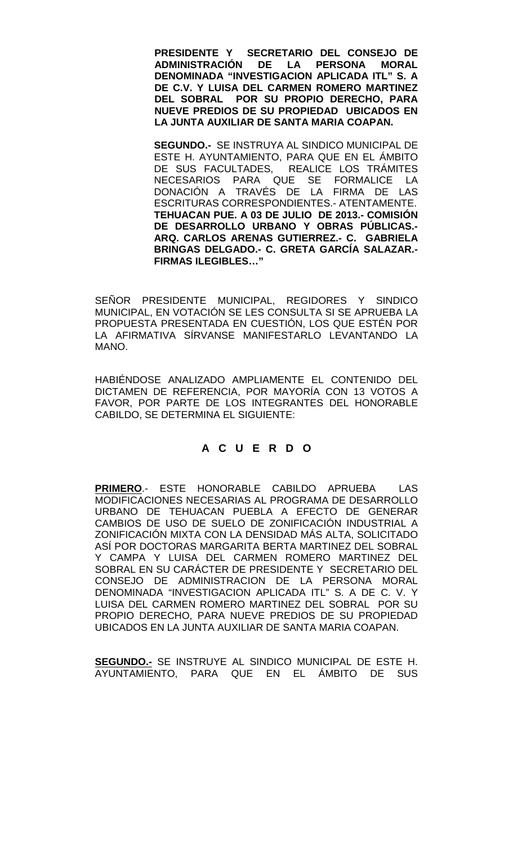**PRESIDENTE Y SECRETARIO DEL CONSEJO DE DE LA PERSONA MORAL DENOMINADA "INVESTIGACION APLICADA ITL" S. A DE C.V. Y LUISA DEL CARMEN ROMERO MARTINEZ DEL SOBRAL POR SU PROPIO DERECHO, PARA NUEVE PREDIOS DE SU PROPIEDAD UBICADOS EN LA JUNTA AUXILIAR DE SANTA MARIA COAPAN.**

**SEGUNDO.-** SE INSTRUYA AL SINDICO MUNICIPAL DE ESTE H. AYUNTAMIENTO, PARA QUE EN EL ÁMBITO DE SUS FACULTADES, REALICE LOS TRÁMITES NECESARIOS PARA QUE SE FORMALICE LA DONACIÓN A TRAVÉS DE LA FIRMA DE LAS ESCRITURAS CORRESPONDIENTES.- ATENTAMENTE. **TEHUACAN PUE. A 03 DE JULIO DE 2013.- COMISIÓN DE DESARROLLO URBANO Y OBRAS PÚBLICAS.- ARQ. CARLOS ARENAS GUTIERREZ.- C. GABRIELA BRINGAS DELGADO.- C. GRETA GARCÍA SALAZAR.- FIRMAS ILEGIBLES…"**

SEÑOR PRESIDENTE MUNICIPAL, REGIDORES Y SINDICO MUNICIPAL, EN VOTACIÓN SE LES CONSULTA SI SE APRUEBA LA PROPUESTA PRESENTADA EN CUESTIÓN, LOS QUE ESTÉN POR LA AFIRMATIVA SÍRVANSE MANIFESTARLO LEVANTANDO LA MANO.

HABIÉNDOSE ANALIZADO AMPLIAMENTE EL CONTENIDO DEL DICTAMEN DE REFERENCIA, POR MAYORÍA CON 13 VOTOS A FAVOR, POR PARTE DE LOS INTEGRANTES DEL HONORABLE CABILDO, SE DETERMINA EL SIGUIENTE:

# **A C U E R D O**

**PRIMERO**.- ESTE HONORABLE CABILDO APRUEBA LAS MODIFICACIONES NECESARIAS AL PROGRAMA DE DESARROLLO URBANO DE TEHUACAN PUEBLA A EFECTO DE GENERAR CAMBIOS DE USO DE SUELO DE ZONIFICACIÓN INDUSTRIAL A ZONIFICACIÓN MIXTA CON LA DENSIDAD MÁS ALTA, SOLICITADO ASÍ POR DOCTORAS MARGARITA BERTA MARTINEZ DEL SOBRAL Y CAMPA Y LUISA DEL CARMEN ROMERO MARTINEZ DEL SOBRAL EN SU CARÁCTER DE PRESIDENTE Y SECRETARIO DEL CONSEJO DE ADMINISTRACION DE LA PERSONA MORAL DENOMINADA "INVESTIGACION APLICADA ITL" S. A DE C. V. Y LUISA DEL CARMEN ROMERO MARTINEZ DEL SOBRAL POR SU PROPIO DERECHO, PARA NUEVE PREDIOS DE SU PROPIEDAD UBICADOS EN LA JUNTA AUXILIAR DE SANTA MARIA COAPAN.

**SEGUNDO.-** SE INSTRUYE AL SINDICO MUNICIPAL DE ESTE H. AYUNTAMIENTO, PARA QUE EN EL ÁMBITO DE SUS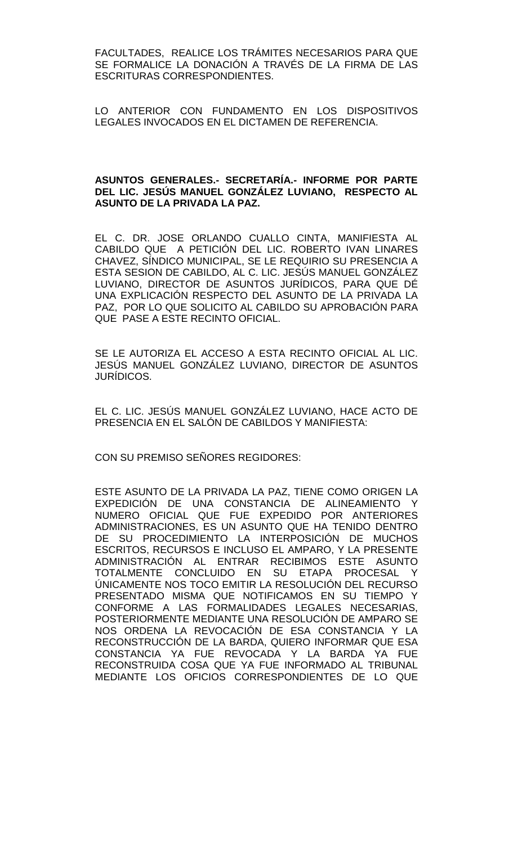FACULTADES, REALICE LOS TRÁMITES NECESARIOS PARA QUE SE FORMALICE LA DONACIÓN A TRAVÉS DE LA FIRMA DE LAS ESCRITURAS CORRESPONDIENTES.

LO ANTERIOR CON FUNDAMENTO EN LOS DISPOSITIVOS LEGALES INVOCADOS EN EL DICTAMEN DE REFERENCIA.

# **ASUNTOS GENERALES.- SECRETARÍA.- INFORME POR PARTE DEL LIC. JESÚS MANUEL GONZÁLEZ LUVIANO, RESPECTO AL ASUNTO DE LA PRIVADA LA PAZ.**

EL C. DR. JOSE ORLANDO CUALLO CINTA, MANIFIESTA AL CABILDO QUE A PETICIÓN DEL LIC. ROBERTO IVAN LINARES CHAVEZ, SÍNDICO MUNICIPAL, SE LE REQUIRIO SU PRESENCIA A ESTA SESION DE CABILDO, AL C. LIC. JESÚS MANUEL GONZÁLEZ LUVIANO, DIRECTOR DE ASUNTOS JURÍDICOS, PARA QUE DÉ UNA EXPLICACIÓN RESPECTO DEL ASUNTO DE LA PRIVADA LA PAZ, POR LO QUE SOLICITO AL CABILDO SU APROBACIÓN PARA QUE PASE A ESTE RECINTO OFICIAL.

SE LE AUTORIZA EL ACCESO A ESTA RECINTO OFICIAL AL LIC. JESÚS MANUEL GONZÁLEZ LUVIANO, DIRECTOR DE ASUNTOS JURÍDICOS.

EL C. LIC. JESÚS MANUEL GONZÁLEZ LUVIANO, HACE ACTO DE PRESENCIA EN EL SALÓN DE CABILDOS Y MANIFIESTA:

CON SU PREMISO SEÑORES REGIDORES:

ESTE ASUNTO DE LA PRIVADA LA PAZ, TIENE COMO ORIGEN LA EXPEDICIÓN DE UNA CONSTANCIA DE ALINEAMIENTO Y NUMERO OFICIAL QUE FUE EXPEDIDO POR ANTERIORES ADMINISTRACIONES, ES UN ASUNTO QUE HA TENIDO DENTRO DE SU PROCEDIMIENTO LA INTERPOSICIÓN DE MUCHOS ESCRITOS, RECURSOS E INCLUSO EL AMPARO, Y LA PRESENTE ADMINISTRACIÓN AL ENTRAR RECIBIMOS ESTE ASUNTO TOTALMENTE CONCLUIDO EN SU ETAPA PROCESAL Y ÚNICAMENTE NOS TOCO EMITIR LA RESOLUCIÓN DEL RECURSO PRESENTADO MISMA QUE NOTIFICAMOS EN SU TIEMPO Y CONFORME A LAS FORMALIDADES LEGALES NECESARIAS, POSTERIORMENTE MEDIANTE UNA RESOLUCIÓN DE AMPARO SE NOS ORDENA LA REVOCACIÓN DE ESA CONSTANCIA Y LA RECONSTRUCCIÓN DE LA BARDA, QUIERO INFORMAR QUE ESA CONSTANCIA YA FUE REVOCADA Y LA BARDA YA FUE RECONSTRUIDA COSA QUE YA FUE INFORMADO AL TRIBUNAL MEDIANTE LOS OFICIOS CORRESPONDIENTES DE LO QUE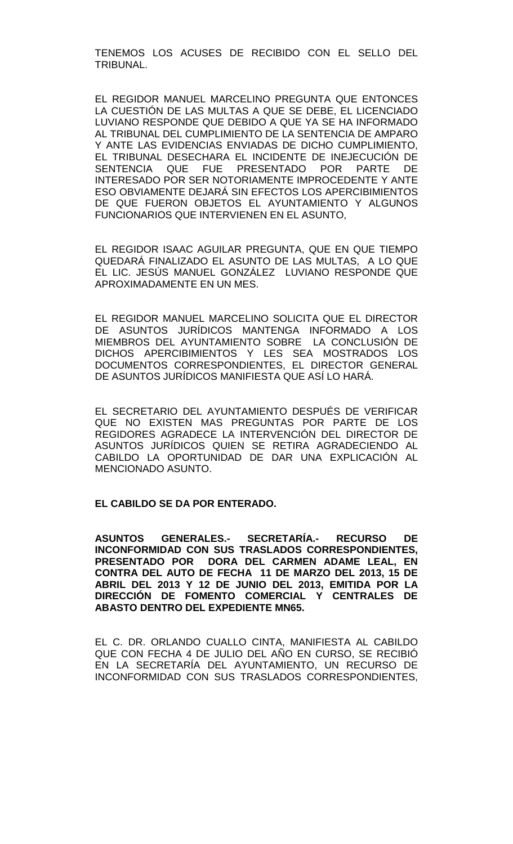TENEMOS LOS ACUSES DE RECIBIDO CON EL SELLO DEL TRIBUNAL.

EL REGIDOR MANUEL MARCELINO PREGUNTA QUE ENTONCES LA CUESTIÓN DE LAS MULTAS A QUE SE DEBE, EL LICENCIADO LUVIANO RESPONDE QUE DEBIDO A QUE YA SE HA INFORMADO AL TRIBUNAL DEL CUMPLIMIENTO DE LA SENTENCIA DE AMPARO Y ANTE LAS EVIDENCIAS ENVIADAS DE DICHO CUMPLIMIENTO, EL TRIBUNAL DESECHARA EL INCIDENTE DE INEJECUCIÓN DE<br>SENTENCIA QUE FUE PRESENTADO POR PARTF DE SENTENCIA QUE FUE PRESENTADO POR PARTE INTERESADO POR SER NOTORIAMENTE IMPROCEDENTE Y ANTE ESO OBVIAMENTE DEJARÁ SIN EFECTOS LOS APERCIBIMIENTOS DE QUE FUERON OBJETOS EL AYUNTAMIENTO Y ALGUNOS FUNCIONARIOS QUE INTERVIENEN EN EL ASUNTO,

EL REGIDOR ISAAC AGUILAR PREGUNTA, QUE EN QUE TIEMPO QUEDARÁ FINALIZADO EL ASUNTO DE LAS MULTAS, A LO QUE EL LIC. JESÚS MANUEL GONZÁLEZ LUVIANO RESPONDE QUE APROXIMADAMENTE EN UN MES.

EL REGIDOR MANUEL MARCELINO SOLICITA QUE EL DIRECTOR DE ASUNTOS JURÍDICOS MANTENGA INFORMADO A LOS MIEMBROS DEL AYUNTAMIENTO SOBRE LA CONCLUSIÓN DE DICHOS APERCIBIMIENTOS Y LES SEA MOSTRADOS LOS DOCUMENTOS CORRESPONDIENTES, EL DIRECTOR GENERAL DE ASUNTOS JURÍDICOS MANIFIESTA QUE ASÍ LO HARÁ.

EL SECRETARIO DEL AYUNTAMIENTO DESPUÉS DE VERIFICAR QUE NO EXISTEN MAS PREGUNTAS POR PARTE DE LOS REGIDORES AGRADECE LA INTERVENCIÓN DEL DIRECTOR DE ASUNTOS JURÍDICOS QUIEN SE RETIRA AGRADECIENDO AL CABILDO LA OPORTUNIDAD DE DAR UNA EXPLICACIÓN AL MENCIONADO ASUNTO.

# **EL CABILDO SE DA POR ENTERADO.**

**ASUNTOS GENERALES.- SECRETARÍA.- RECURSO DE INCONFORMIDAD CON SUS TRASLADOS CORRESPONDIENTES, PRESENTADO POR DORA DEL CARMEN ADAME LEAL, EN CONTRA DEL AUTO DE FECHA 11 DE MARZO DEL 2013, 15 DE ABRIL DEL 2013 Y 12 DE JUNIO DEL 2013, EMITIDA POR LA DIRECCIÓN DE FOMENTO COMERCIAL Y CENTRALES DE ABASTO DENTRO DEL EXPEDIENTE MN65.**

EL C. DR. ORLANDO CUALLO CINTA, MANIFIESTA AL CABILDO QUE CON FECHA 4 DE JULIO DEL AÑO EN CURSO, SE RECIBIÓ EN LA SECRETARÍA DEL AYUNTAMIENTO, UN RECURSO DE INCONFORMIDAD CON SUS TRASLADOS CORRESPONDIENTES,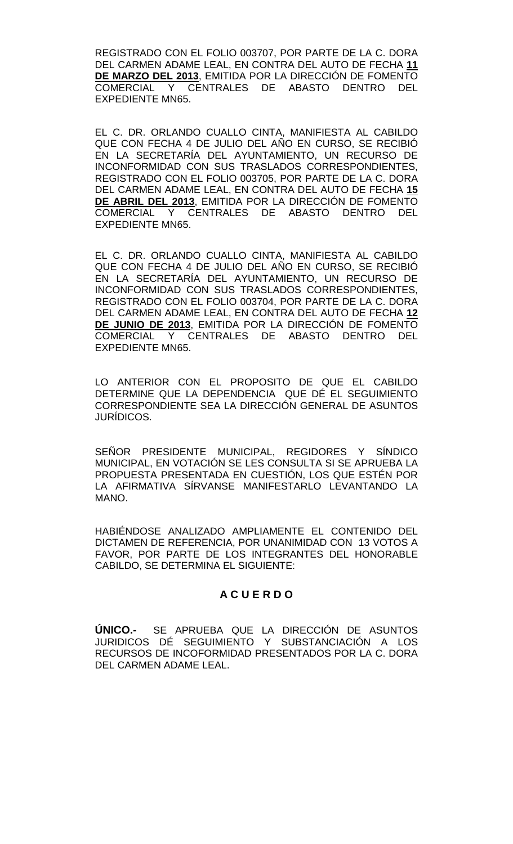REGISTRADO CON EL FOLIO 003707, POR PARTE DE LA C. DORA DEL CARMEN ADAME LEAL, EN CONTRA DEL AUTO DE FECHA **11 DE MARZO DEL 2013**, EMITIDA POR LA DIRECCIÓN DE FOMENTO COMERCIAL Y CENTRALES DE ABASTO DENTRO DEL EXPEDIENTE MN65.

EL C. DR. ORLANDO CUALLO CINTA, MANIFIESTA AL CABILDO QUE CON FECHA 4 DE JULIO DEL AÑO EN CURSO, SE RECIBIÓ EN LA SECRETARÍA DEL AYUNTAMIENTO, UN RECURSO DE INCONFORMIDAD CON SUS TRASLADOS CORRESPONDIENTES, REGISTRADO CON EL FOLIO 003705, POR PARTE DE LA C. DORA DEL CARMEN ADAME LEAL, EN CONTRA DEL AUTO DE FECHA **15 DE ABRIL DEL 2013**, EMITIDA POR LA DIRECCIÓN DE FOMENTO COMERCIAL Y CENTRALES DE ABASTO DENTRO DEL EXPEDIENTE MN65.

EL C. DR. ORLANDO CUALLO CINTA, MANIFIESTA AL CABILDO QUE CON FECHA 4 DE JULIO DEL AÑO EN CURSO, SE RECIBIÓ EN LA SECRETARÍA DEL AYUNTAMIENTO, UN RECURSO DE INCONFORMIDAD CON SUS TRASLADOS CORRESPONDIENTES, REGISTRADO CON EL FOLIO 003704, POR PARTE DE LA C. DORA DEL CARMEN ADAME LEAL, EN CONTRA DEL AUTO DE FECHA **12 DE JUNIO DE 2013**, EMITIDA POR LA DIRECCIÓN DE FOMENTO Y CENTRALES DE ABASTO DENTRO DEL EXPEDIENTE MN65.

LO ANTERIOR CON EL PROPOSITO DE QUE EL CABILDO DETERMINE QUE LA DEPENDENCIA QUE DÉ EL SEGUIMIENTO CORRESPONDIENTE SEA LA DIRECCIÓN GENERAL DE ASUNTOS JURÍDICOS.

SEÑOR PRESIDENTE MUNICIPAL, REGIDORES Y SÍNDICO MUNICIPAL, EN VOTACIÓN SE LES CONSULTA SI SE APRUEBA LA PROPUESTA PRESENTADA EN CUESTIÓN, LOS QUE ESTÉN POR LA AFIRMATIVA SÍRVANSE MANIFESTARLO LEVANTANDO LA MANO.

HABIÉNDOSE ANALIZADO AMPLIAMENTE EL CONTENIDO DEL DICTAMEN DE REFERENCIA, POR UNANIMIDAD CON 13 VOTOS A FAVOR, POR PARTE DE LOS INTEGRANTES DEL HONORABLE CABILDO, SE DETERMINA EL SIGUIENTE:

# **A C U E R D O**

**ÚNICO.-** SE APRUEBA QUE LA DIRECCIÓN DE ASUNTOS JURIDICOS DÉ SEGUIMIENTO Y SUBSTANCIACIÓN A LOS RECURSOS DE INCOFORMIDAD PRESENTADOS POR LA C. DORA DEL CARMEN ADAME LEAL.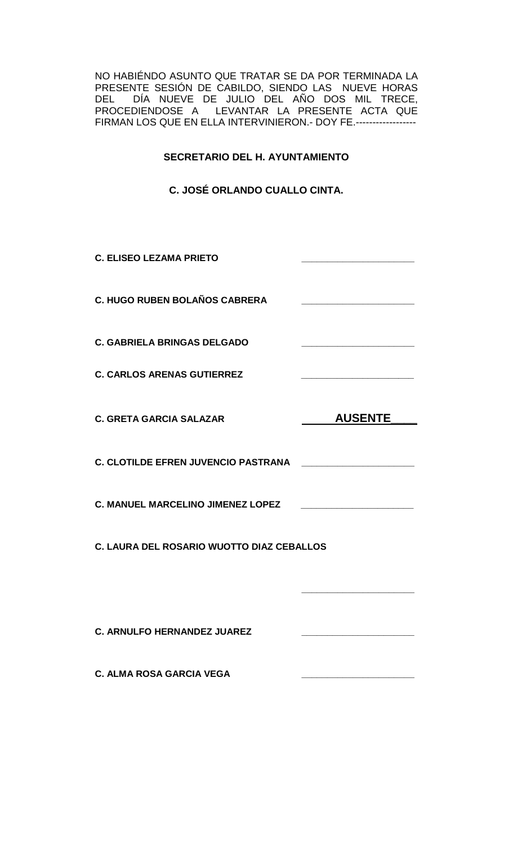NO HABIÉNDO ASUNTO QUE TRATAR SE DA POR TERMINADA LA PRESENTE SESIÓN DE CABILDO, SIENDO LAS NUEVE HORAS DEL DÍA NUEVE DE JULIO DEL AÑO DOS MIL TRECE, PROCEDIENDOSE A LEVANTAR LA PRESENTE ACTA QUE FIRMAN LOS QUE EN ELLA INTERVINIERON.- DOY FE.------------------

# **SECRETARIO DEL H. AYUNTAMIENTO**

**C. JOSÉ ORLANDO CUALLO CINTA.**

| <b>C. ELISEO LEZAMA PRIETO</b>             |                                                                                                                                                                                                                                      |  |
|--------------------------------------------|--------------------------------------------------------------------------------------------------------------------------------------------------------------------------------------------------------------------------------------|--|
| <b>C. HUGO RUBEN BOLAÑOS CABRERA</b>       | <u> 1980 - Johann John Harry Harry Harry Harry Harry Harry Harry Harry Harry Harry Harry Harry Harry Harry Harry Harry Harry Harry Harry Harry Harry Harry Harry Harry Harry Harry Harry Harry Harry Harry Harry Harry Harry Har</u> |  |
| <b>C. GABRIELA BRINGAS DELGADO</b>         |                                                                                                                                                                                                                                      |  |
| <b>C. CARLOS ARENAS GUTIERREZ</b>          |                                                                                                                                                                                                                                      |  |
| <b>C. GRETA GARCIA SALAZAR</b>             | <b>AUSENTE</b>                                                                                                                                                                                                                       |  |
| <b>C. CLOTILDE EFREN JUVENCIO PASTRANA</b> |                                                                                                                                                                                                                                      |  |
| C. MANUEL MARCELINO JIMENEZ LOPEZ          | <u> 1989 - Johann Barbara, martxa alemaniar a</u>                                                                                                                                                                                    |  |
| C. LAURA DEL ROSARIO WUOTTO DIAZ CEBALLOS  |                                                                                                                                                                                                                                      |  |
|                                            |                                                                                                                                                                                                                                      |  |
| <b>C. ARNULFO HERNANDEZ JUAREZ</b>         |                                                                                                                                                                                                                                      |  |
| <b>C. ALMA ROSA GARCIA VEGA</b>            |                                                                                                                                                                                                                                      |  |